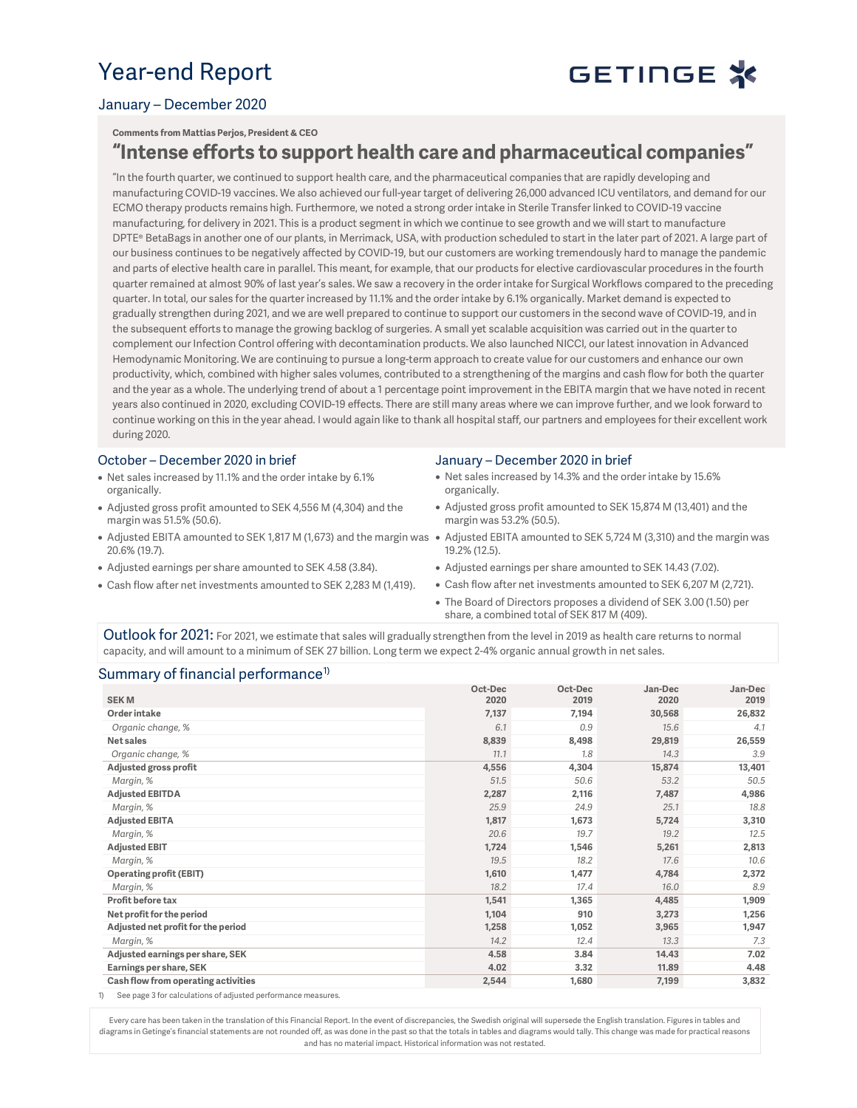## Year-end Report



### January – December 2020

Comments from Mattias Perjos, President & CEO

## "Intense efforts to support health care and pharmaceutical companies"

"In the fourth quarter, we continued to support health care, and the pharmaceutical companies that are rapidly developing and manufacturing COVID-19 vaccines. We also achieved our full-year target of delivering 26,000 advanced ICU ventilators, and demand for our ECMO therapy products remains high. Furthermore, we noted a strong order intake in Sterile Transfer linked to COVID-19 vaccine manufacturing, for delivery in 2021. This is a product segment in which we continue to see growth and we will start to manufacture DPTE® BetaBags in another one of our plants, in Merrimack, USA, with production scheduled to start in the later part of 2021. A large part of our business continues to be negatively affected by COVID-19, but our customers are working tremendously hard to manage the pandemic and parts of elective health care in parallel. This meant, for example, that our products for elective cardiovascular procedures in the fourth quarter remained at almost 90% of last year's sales. We saw a recovery in the order intake for Surgical Workflows compared to the preceding quarter. In total, our sales for the quarter increased by 11.1% and the order intake by 6.1% organically. Market demand is expected to gradually strengthen during 2021, and we are well prepared to continue to support our customers in the second wave of COVID-19, and in the subsequent efforts to manage the growing backlog of surgeries. A small yet scalable acquisition was carried out in the quarter to complement our Infection Control offering with decontamination products. We also launched NICCI, our latest innovation in Advanced Hemodynamic Monitoring. We are continuing to pursue a long-term approach to create value for our customers and enhance our own productivity, which, combined with higher sales volumes, contributed to a strengthening of the margins and cash flow for both the quarter and the year as a whole. The underlying trend of about a 1 percentage point improvement in the EBITA margin that we have noted in recent years also continued in 2020, excluding COVID-19 effects. There are still many areas where we can improve further, and we look forward to continue working on this in the year ahead. I would again like to thank all hospital staff, our partners and employees for their excellent work during 2020.

#### October – December 2020 in brief

- Net sales increased by 11.1% and the order intake by 6.1% organically.
- Adjusted gross profit amounted to SEK 4,556 M (4,304) and the margin was 51.5% (50.6).
- 20.6% (19.7).
- Adjusted earnings per share amounted to SEK 4.58 (3.84).
- Cash flow after net investments amounted to SEK 2,283 M (1,419).

#### January – December 2020 in brief

- Net sales increased by 14.3% and the order intake by 15.6% organically.
- Adjusted gross profit amounted to SEK 15,874 M (13,401) and the margin was 53.2% (50.5).
- $\bullet$  Adjusted EBITA amounted to SEK 1,817 M (1,673) and the margin was  $\,\bullet\,$  Adjusted EBITA amounted to SEK 5,724 M (3,310) and the margin was 19.2% (12.5).
	- Adjusted earnings per share amounted to SEK 14.43 (7.02).
	- Cash flow after net investments amounted to SEK 6,207 M (2,721).
	- The Board of Directors proposes a dividend of SEK 3.00 (1.50) per share, a combined total of SEK 817 M (409).

Outlook for 2021: For 2021, we estimate that sales will gradually strengthen from the level in 2019 as health care returns to normal capacity, and will amount to a minimum of SEK 27 billion. Long term we expect 2-4% organic annual growth in net sales.

#### Summary of financial performance<sup>1)</sup>

| <b>SEKM</b>                         | Oct-Dec<br>2020 | Oct-Dec<br>2019 | Jan-Dec<br>2020 | Jan-Dec<br>2019 |
|-------------------------------------|-----------------|-----------------|-----------------|-----------------|
| <b>Order intake</b>                 | 7,137           | 7,194           | 30,568          | 26,832          |
| Organic change, %                   | 6.1             | 0.9             | 15.6            | 4.1             |
| Net sales                           | 8,839           | 8,498           | 29,819          | 26,559          |
| Organic change, %                   | 11.1            | 1.8             | 14.3            | 3.9             |
| Adjusted gross profit               | 4,556           | 4,304           | 15,874          | 13,401          |
| Margin, %                           | 51.5            | 50.6            | 53.2            | 50.5            |
| <b>Adjusted EBITDA</b>              | 2,287           | 2,116           | 7,487           | 4,986           |
| Margin, %                           | 25.9            | 24.9            | 25.1            | 18.8            |
| <b>Adjusted EBITA</b>               | 1,817           | 1,673           | 5,724           | 3,310           |
| Margin, %                           | 20.6            | 19.7            | 19.2            | 12.5            |
| <b>Adjusted EBIT</b>                | 1,724           | 1,546           | 5,261           | 2,813           |
| Margin, %                           | 19.5            | 18.2            | 17.6            | 10.6            |
| <b>Operating profit (EBIT)</b>      | 1,610           | 1,477           | 4,784           | 2,372           |
| Margin, %                           | 18.2            | 17.4            | 16.0            | 8.9             |
| <b>Profit before tax</b>            | 1,541           | 1,365           | 4,485           | 1,909           |
| Net profit for the period           | 1,104           | 910             | 3,273           | 1,256           |
| Adjusted net profit for the period  | 1,258           | 1,052           | 3,965           | 1,947           |
| Margin, %                           | 14.2            | 12.4            | 13.3            | 7.3             |
| Adjusted earnings per share, SEK    | 4.58            | 3.84            | 14.43           | 7.02            |
| Earnings per share, SEK             | 4.02            | 3.32            | 11.89           | 4.48            |
| Cash flow from operating activities | 2,544           | 1,680           | 7,199           | 3,832           |

1) See page 3 for calculations of adjusted performance measures.

Every care has been taken in the translation of this Financial Report. In the event of discrepancies, the Swedish original will supersede the English translation. Figures in tables and diagrams in Getinge's financial statements are not rounded off, as was done in the past so that the totals in tables and diagrams would tally. This change was made for practical reasons and has no material impact. Historical information was not restated.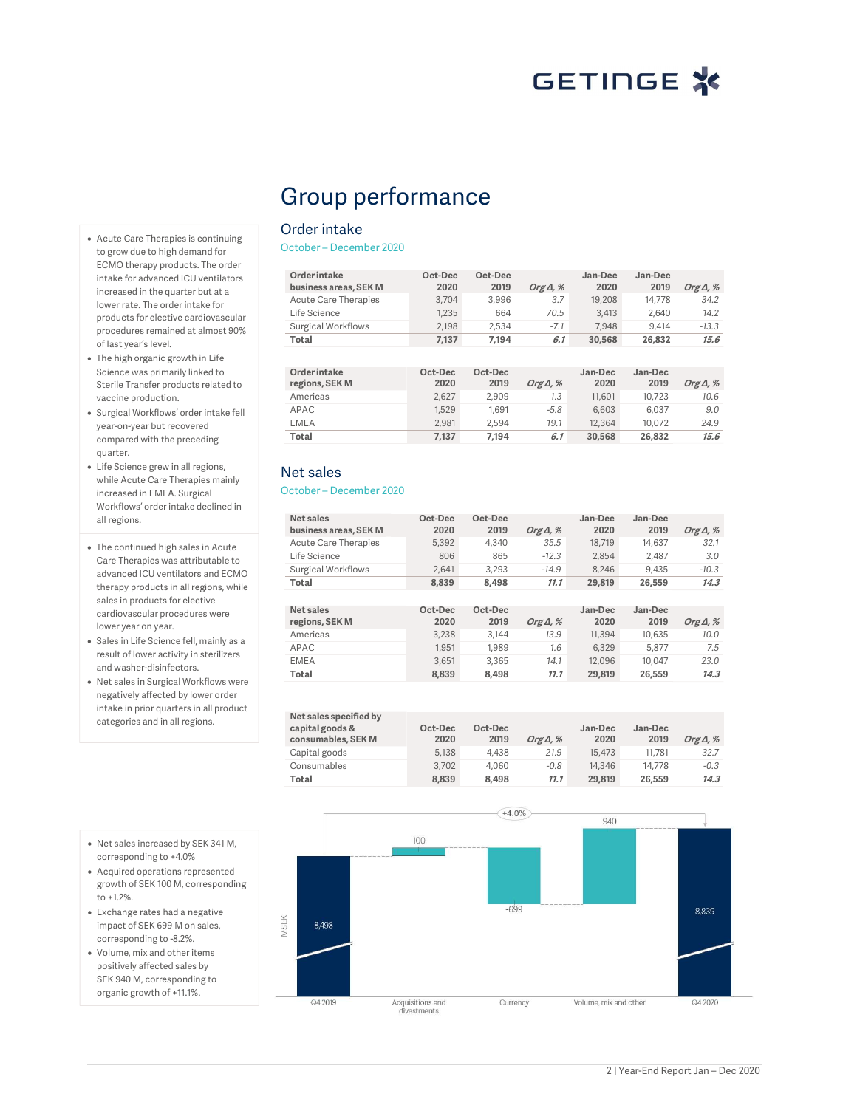# GETINGE X

# Group performance

### Order intake

October – December 2020

| Order intake<br>business areas, SEK M | Oct-Dec<br>2020 | Oct-Dec<br>2019 | Org $\Delta$ , % | Jan-Dec<br>2020 | Jan-Dec<br>2019 | Org $\Delta$ , % |
|---------------------------------------|-----------------|-----------------|------------------|-----------------|-----------------|------------------|
| Acute Care Therapies                  | 3.704           | 3.996           | 3.7              | 19,208          | 14.778          | 34.2             |
| Life Science                          | 1.235           | 664             | 70.5             | 3.413           | 2.640           | 14.2             |
| Surgical Workflows                    | 2.198           | 2.534           | $-7.1$           | 7.948           | 9.414           | $-13.3$          |
| Total                                 | 7.137           | 7.194           | 6.1              | 30.568          | 26.832          | 15.6             |

| Order intake   | Oct-Dec | Oct-Dec |                  | Jan-Dec | Jan-Dec |                  |
|----------------|---------|---------|------------------|---------|---------|------------------|
| regions, SEK M | 2020    | 2019    | Org $\Delta$ , % | 2020    | 2019    | Org $\Delta$ , % |
| Americas       | 2.627   | 2.909   | 1.3              | 11.601  | 10.723  | 10.6             |
| APAC           | 1.529   | 1.691   | $-5.8$           | 6.603   | 6.037   | 9.0              |
| <b>EMEA</b>    | 2.981   | 2.594   | 19.1             | 12,364  | 10.072  | 24.9             |
| Total          | 7.137   | 7.194   | 6.1              | 30.568  | 26.832  | 15.6             |

### Net sales

October – December 2020

| Net sales<br>business areas. SEK M | Oct-Dec<br>2020 | Oct-Dec<br>2019 | Org $\Delta$ , % | Jan-Dec<br>2020 | Jan-Dec<br>2019 | Org $\Delta$ , % |
|------------------------------------|-----------------|-----------------|------------------|-----------------|-----------------|------------------|
| Acute Care Therapies               | 5.392           | 4.340           | 35.5             | 18.719          | 14.637          | 32.1             |
| Life Science                       | 806             | 865             | $-12.3$          | 2.854           | 2.487           | 3.0              |
| <b>Surgical Workflows</b>          | 2.641           | 3.293           | $-14.9$          | 8.246           | 9.435           | $-10.3$          |
| Total                              | 8.839           | 8.498           | 11.1             | 29.819          | 26.559          | 14.3             |
|                                    |                 |                 |                  |                 |                 |                  |
| Net sales<br>regions, SEK M        | Oct-Dec<br>2020 | Oct-Dec<br>2019 | Org $\Delta$ , % | Jan-Dec<br>2020 | Jan-Dec<br>2019 | Org $\Delta$ , % |
| Americas                           | 3.238           | 3.144           | 13.9             | 11.394          | 10.635          | 10.0             |
| APAC                               | 1.951           | 1.989           | 1.6              | 6.329           | 5.877           | 7.5              |
|                                    |                 |                 |                  |                 |                 |                  |
| <b>EMEA</b>                        | 3.651           | 3.365           | 14.1             | 12.096          | 10.047          | 23.0             |

| Net sales specified by<br>capital goods &<br>consumables, SEK M | Oct-Dec<br>2020 | Oct-Dec<br>2019 | Org $\Delta$ , % | Jan-Dec<br>2020 | Jan-Dec<br>2019 | Org $\Delta$ , % |
|-----------------------------------------------------------------|-----------------|-----------------|------------------|-----------------|-----------------|------------------|
| Capital goods                                                   | 5.138           | 4.438           | 21.9             | 15,473          | 11.781          | 32.7             |
| Consumables                                                     | 3.702           | 4.060           | $-0.8$           | 14,346          | 14.778          | $-0.3$           |
| Total                                                           | 8.839           | 8.498           | 11.1             | 29.819          | 26,559          | 14.3             |



- Acute Care Therapies is continuing to grow due to high demand for ECMO therapy products. The order intake for advanced ICU ventilators increased in the quarter but at a lower rate. The order intake for products for elective cardiovascular procedures remained at almost 90% of last year's level.
- The high organic growth in Life Science was primarily linked to Sterile Transfer products related to vaccine production.
- Surgical Workflows' order intake fell year-on-year but recovered compared with the preceding quarter.
- Life Science grew in all regions, while Acute Care Therapies mainly increased in EMEA. Surgical Workflows' order intake declined in all regions.
- The continued high sales in Acute Care Therapies was attributable to advanced ICU ventilators and ECMO therapy products in all regions, while sales in products for elective cardiovascular procedures were lower year on year.
- Sales in Life Science fell, mainly as a result of lower activity in sterilizers and washer-disinfectors.
- Net sales in Surgical Workflows were negatively affected by lower order intake in prior quarters in all product categories and in all regions.
- Net sales increased by SEK 341 M, corresponding to +4.0%
- Acquired operations represented growth of SEK 100 M, corresponding to +1.2%.
- Exchange rates had a negative impact of SEK 699 M on sales, corresponding to -8.2%.
- Volume, mix and other items positively affected sales by SEK 940 M, corresponding to organic growth of +11.1%.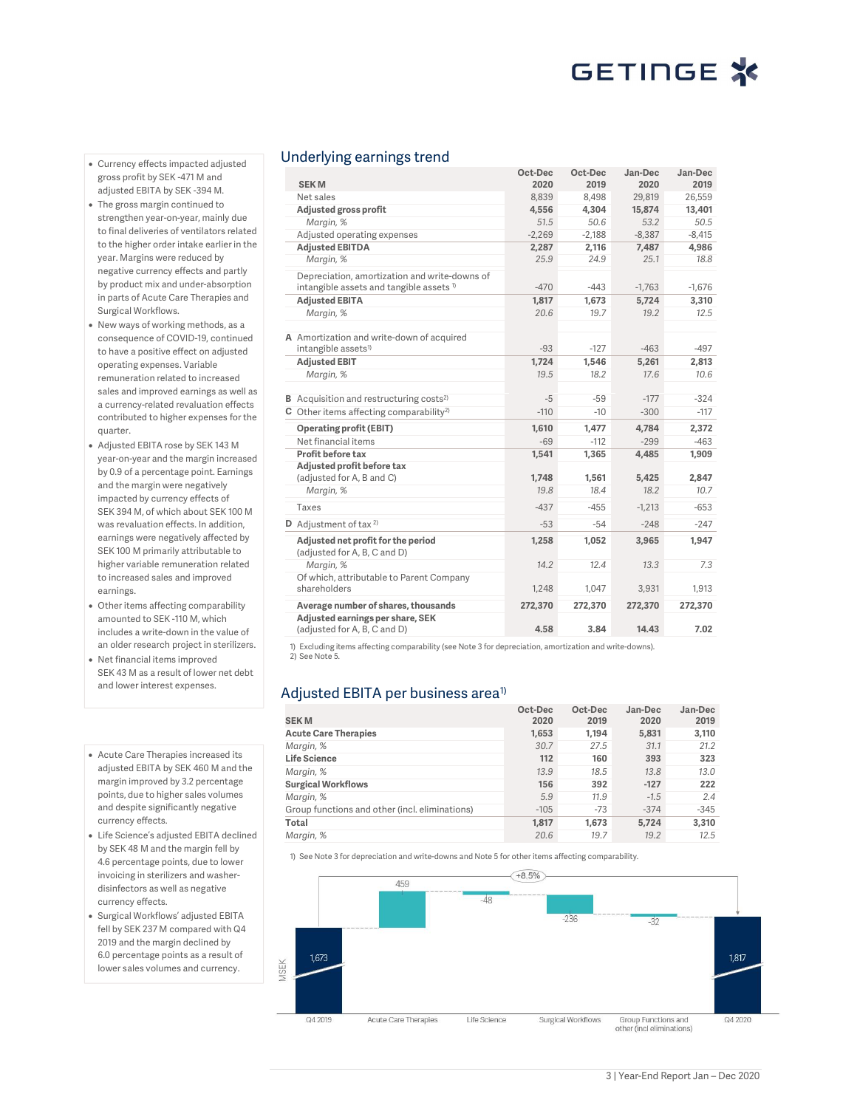- Currency effects impacted adjusted gross profit by SEK -471 M and adjusted EBITA by SEK -394 M.
- The gross margin continued to strengthen year-on-year, mainly due to final deliveries of ventilators related to the higher order intake earlier in the year. Margins were reduced by negative currency effects and partly by product mix and under-absorption in parts of Acute Care Therapies and Surgical Workflows.
- New ways of working methods, as a consequence of COVID-19, continued to have a positive effect on adjusted operating expenses. Variable remuneration related to increased sales and improved earnings as well as a currency-related revaluation effects contributed to higher expenses for the quarter.
- Adjusted EBITA rose by SEK 143 M year-on-year and the margin increased by 0.9 of a percentage point. Earnings and the margin were negatively impacted by currency effects of SEK 394 M, of which about SEK 100 M was revaluation effects. In addition, earnings were negatively affected by SEK 100 M primarily attributable to higher variable remuneration related to increased sales and improved earnings.
- Other items affecting comparability amounted to SEK -110 M, which includes a write-down in the value of an older research project in sterilizers.
- Net financial items improved SEK 43 M as a result of lower net debt and lower interest expenses.
- Acute Care Therapies increased its adjusted EBITA by SEK 460 M and the margin improved by 3.2 percentage points, due to higher sales volumes and despite significantly negative currency effects.
- Life Science's adjusted EBITA declined by SEK 48 M and the margin fell by 4.6 percentage points, due to lower invoicing in sterilizers and washerdisinfectors as well as negative currency effects.
- Surgical Workflows' adjusted EBITA fell by SEK 237 M compared with Q4 2019 and the margin declined by 6.0 percentage points as a result of lower sales volumes and currency.

### Underlying earnings trend

|                                                                    | Oct-Dec  | Oct-Dec  | Jan-Dec  | Jan-Dec  |
|--------------------------------------------------------------------|----------|----------|----------|----------|
| <b>SEKM</b>                                                        | 2020     | 2019     | 2020     | 2019     |
| Net sales                                                          | 8,839    | 8,498    | 29,819   | 26,559   |
| Adjusted gross profit                                              | 4,556    | 4,304    | 15,874   | 13,401   |
| Margin, %                                                          | 51.5     | 50.6     | 53.2     | 50.5     |
| Adjusted operating expenses                                        | $-2.269$ | $-2.188$ | $-8.387$ | $-8.415$ |
| <b>Adjusted EBITDA</b>                                             | 2,287    | 2,116    | 7,487    | 4,986    |
| Margin, %                                                          | 25.9     | 24.9     | 25.1     | 18.8     |
| Depreciation, amortization and write-downs of                      |          |          |          |          |
| intangible assets and tangible assets <sup>1)</sup>                | $-470$   | $-443$   | $-1,763$ | $-1,676$ |
| <b>Adjusted EBITA</b>                                              | 1,817    | 1,673    | 5,724    | 3,310    |
| Margin, %                                                          | 20.6     | 19.7     | 19.2     | 12.5     |
|                                                                    |          |          |          |          |
| A Amortization and write-down of acquired                          |          |          |          |          |
| intangible assets <sup>1)</sup>                                    | $-93$    | $-127$   | $-463$   | $-497$   |
| <b>Adjusted EBIT</b>                                               | 1.724    | 1.546    | 5.261    | 2.813    |
| Margin, %                                                          | 19.5     | 18.2     | 17.6     | 10.6     |
| <b>B</b> Acquisition and restructuring costs <sup>2)</sup>         | $-5$     | $-59$    | $-177$   | $-324$   |
| $C$ Other items affecting comparability <sup>2)</sup>              | $-110$   | $-10$    | $-300$   | $-117$   |
| <b>Operating profit (EBIT)</b>                                     | 1,610    | 1,477    | 4,784    | 2,372    |
| Net financial items                                                | $-69$    | $-112$   | $-299$   | $-463$   |
| Profit before tax                                                  | 1,541    | 1,365    | 4,485    | 1,909    |
| Adjusted profit before tax                                         |          |          |          |          |
| (adjusted for A, B and C)                                          | 1,748    | 1,561    | 5.425    | 2,847    |
| Margin, %                                                          | 19.8     | 18.4     | 18.2     | 10.7     |
| Taxes                                                              | $-437$   | $-455$   | $-1.213$ | $-653$   |
| <b>D</b> Adjustment of tax $2$                                     | $-53$    | $-54$    | $-248$   | $-247$   |
| Adjusted net profit for the period<br>(adjusted for A, B, C and D) | 1,258    | 1,052    | 3,965    | 1,947    |
| Margin, %                                                          | 14.2     | 12.4     | 13.3     | 7.3      |
| Of which, attributable to Parent Company                           |          |          |          |          |
| shareholders                                                       | 1,248    | 1.047    | 3,931    | 1,913    |
| Average number of shares, thousands                                | 272.370  | 272,370  | 272.370  | 272,370  |
| Adjusted earnings per share, SEK<br>(adjusted for A, B, C and D)   | 4.58     | 3.84     | 14.43    | 7.02     |

1) Excluding items affecting comparability (see Note 3 for depreciation, amortization and write-downs). 2) See Note 5.

### Adjusted EBITA per business area $^{\rm 1)}$

| <b>SEKM</b>                                    | Oct-Dec<br>2020 | Oct-Dec<br>2019 | Jan-Dec<br>2020 | Jan-Dec<br>2019 |
|------------------------------------------------|-----------------|-----------------|-----------------|-----------------|
| <b>Acute Care Therapies</b>                    | 1,653           | 1.194           | 5.831           | 3,110           |
| Margin, %                                      | 30.7            | 27.5            | 31.1            | 21.2            |
| <b>Life Science</b>                            | 112             | 160             | 393             | 323             |
| Margin, %                                      | 13.9            | 18.5            | 13.8            | 13.0            |
| <b>Surgical Workflows</b>                      | 156             | 392             | $-127$          | 222             |
| Margin, %                                      | 5.9             | 11.9            | $-1.5$          | 2.4             |
| Group functions and other (incl. eliminations) | $-105$          | $-73$           | $-374$          | $-345$          |
| Total                                          | 1.817           | 1.673           | 5.724           | 3,310           |
| Margin, %                                      | 20.6            | 19.7            | 19.2            | 12.5            |

1) See Note 3 for depreciation and write-downs and Note 5 for other items affecting comparability.

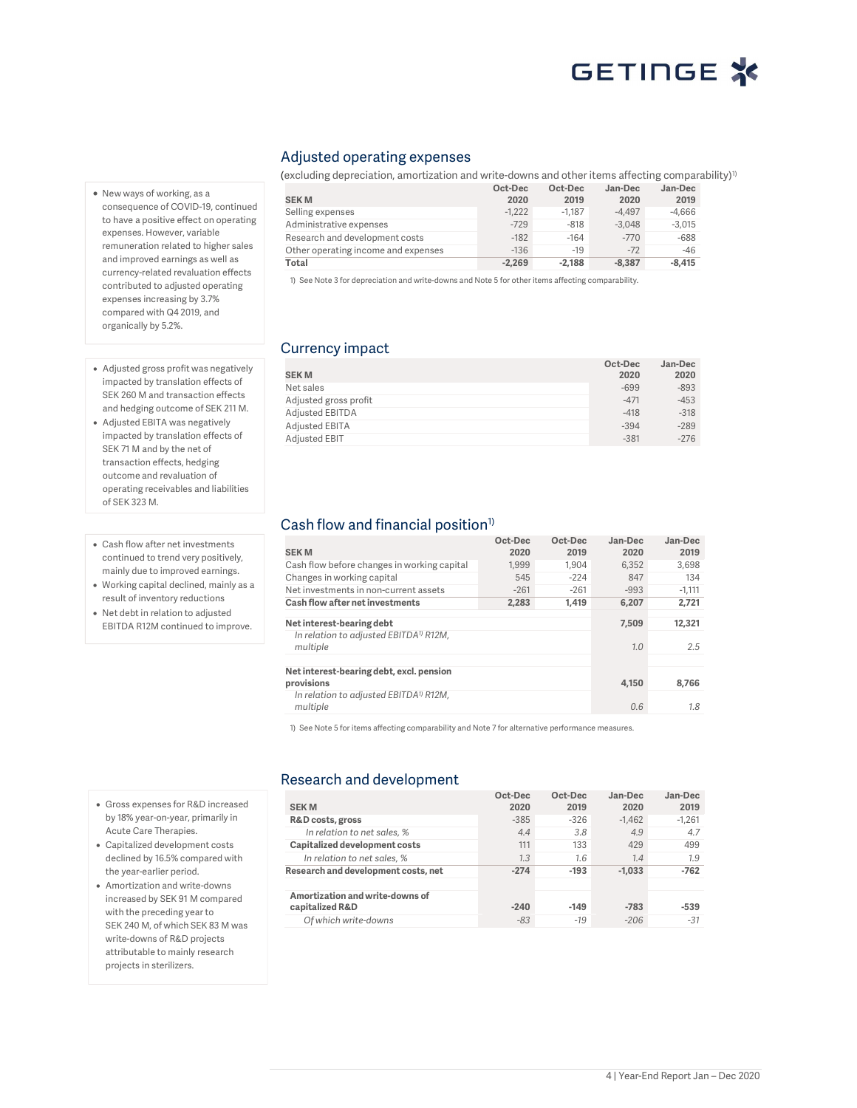# GETINGE X

### Adjusted operating expenses

(excluding depreciation, amortization and write-downs and other items affecting comparability)<sup>1)</sup>

|                                     | Oct-Dec  | Oct-Dec  | Jan-Dec  | Jan-Dec  |
|-------------------------------------|----------|----------|----------|----------|
| <b>SEKM</b>                         | 2020     | 2019     | 2020     | 2019     |
| Selling expenses                    | $-1.222$ | $-1.187$ | $-4.497$ | $-4.666$ |
| Administrative expenses             | $-729$   | $-818$   | $-3.048$ | $-3.015$ |
| Research and development costs      | $-182$   | $-164$   | $-770$   | $-688$   |
| Other operating income and expenses | $-136$   | $-19$    | $-72$    | $-46$    |
| Total                               | $-2.269$ | $-2.188$ | $-8.387$ | $-8.415$ |

1) See Note 3 for depreciation and write-downs and Note 5 for other items affecting comparability.

### Currency impact

|                       | Oct-Dec | Jan-Dec |
|-----------------------|---------|---------|
| <b>SEKM</b>           | 2020    | 2020    |
| Net sales             | $-699$  | $-893$  |
| Adjusted gross profit | $-471$  | $-453$  |
| Adjusted EBITDA       | $-418$  | $-318$  |
| Adjusted EBITA        | $-394$  | $-289$  |
| Adjusted EBIT         | $-381$  | $-276$  |

### Cash flow and financial position<sup>1)</sup>

| <b>SEKM</b>                                                    | Oct-Dec<br>2020 | Oct-Dec<br>2019 | Jan-Dec<br>2020 | Jan-Dec<br>2019 |
|----------------------------------------------------------------|-----------------|-----------------|-----------------|-----------------|
| Cash flow before changes in working capital                    | 1.999           | 1.904           | 6.352           | 3,698           |
| Changes in working capital                                     | 545             | $-224$          | 847             | 134             |
| Net investments in non-current assets                          | $-261$          | $-261$          | $-993$          | $-1.111$        |
| Cash flow after net investments                                | 2,283           | 1.419           | 6,207           | 2,721           |
| Net interest-bearing debt                                      |                 |                 | 7.509           | 12.321          |
| In relation to adjusted EBITDA <sup>1</sup> R12M,<br>multiple  |                 |                 | 1.0             | 2.5             |
|                                                                |                 |                 |                 |                 |
| Net interest-bearing debt, excl. pension<br>provisions         |                 |                 | 4.150           | 8.766           |
| In relation to adjusted EBITDA <sup>1)</sup> R12M,<br>multiple |                 |                 | 0.6             | 1.8             |

1) See Note 5 for items affecting comparability and Note 7 for alternative performance measures.

### Research and development

| <b>SEKM</b>                         | Oct-Dec<br>2020 | Oct-Dec<br>2019 | Jan-Dec<br>2020 | Jan-Dec<br>2019 |
|-------------------------------------|-----------------|-----------------|-----------------|-----------------|
| R&D costs, gross                    | $-385$          | $-326$          | $-1.462$        | $-1.261$        |
| In relation to net sales, %         | 4.4             | 3.8             | 4.9             | 4.7             |
| Capitalized development costs       | 111             | 133             | 429             | 499             |
| In relation to net sales, %         | 1.3             | 1.6             | 1.4             | 1.9             |
| Research and development costs, net | $-274$          | $-193$          | $-1.033$        | $-762$          |
|                                     |                 |                 |                 |                 |
| Amortization and write-downs of     |                 |                 |                 |                 |
| capitalized R&D                     | $-240$          | $-149$          | $-783$          | $-539$          |
| Of which write-downs                | $-83$           | $-19$           | $-206$          | $-31$           |

- New ways of working, as a consequence of COVID-19, continued to have a positive effect on operating expenses. However, variable remuneration related to higher sales and improved earnings as well as currency-related revaluation effects contributed to adjusted operating expenses increasing by 3.7% compared with Q4 2019, and organically by 5.2%.
- Adjusted gross profit was negatively impacted by translation effects of SEK 260 M and transaction effects and hedging outcome of SEK 211 M.
- Adjusted EBITA was negatively impacted by translation effects of SEK 71 M and by the net of transaction effects, hedging outcome and revaluation of operating receivables and liabilities of SEK 323 M.
- Cash flow after net investments continued to trend very positively, mainly due to improved earnings.
- Working capital declined, mainly as a result of inventory reductions
- Net debt in relation to adjusted EBITDA R12M continued to improve.

 Gross expenses for R&D increased by 18% year-on-year, primarily in Acute Care Therapies. Capitalized development costs declined by 16.5% compared with the year-earlier period. Amortization and write-downs increased by SEK 91 M compared with the preceding year to SEK 240 M, of which SEK 83 M was write-downs of R&D projects attributable to mainly research projects in sterilizers.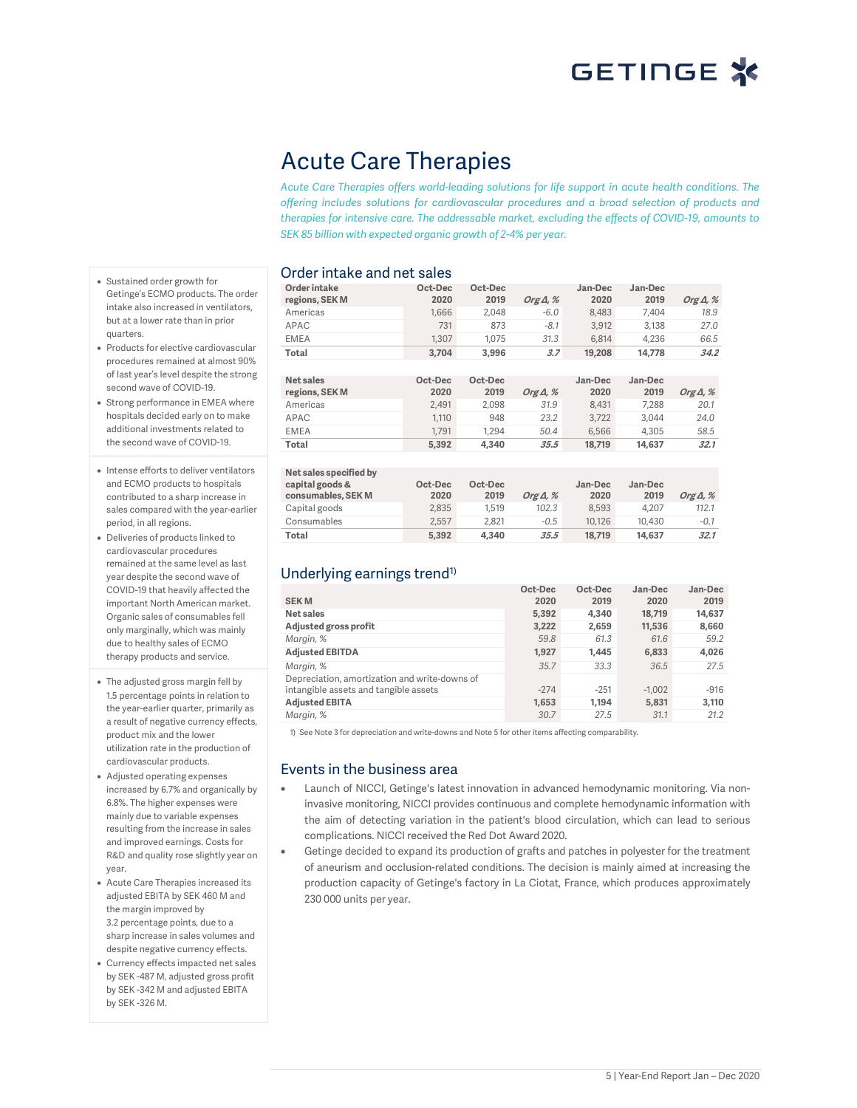## Acute Care Therapies

Acute Care Therapies offers world-leading solutions for life support in acute health conditions. The offering includes solutions for cardiovascular procedures and a broad selection of products and therapies for intensive care. The addressable market, excluding the effects of COVID-19, amounts to SEK 85 billion with expected organic growth of 2-4% per year.

### Order intake and net sales

Order intake regions, SEK M Oct-Dec 2020 Oct-Dec  $Org\Delta$ , % Jan-Dec 2020 Jan-Dec Org $\Delta$ , % Americas 1,666 2,048 -6.0 8,483 7,404 18.9 APAC 731 873 -8.1 3,912 3,138 27.0 EMEA 1,307 1,075 31.3 6,814 4,236 66.5 Total 3,704 3,996 3.7 19,208 14,778 34.2 Net sales regions, SEK M Oct-Dec 2020 Oct-Dec Org Δ, % Jan-Dec 2020 Jan-Dec  $O$ rg  $\Delta$ , % Americas 2,491 2,098 31.9 8,431 7,288 20.1 APAC 1,110 948 23.2 3,722 3,044 24.0 EMEA 1,791 1,294 50.4 6,566 4,305 58.5 Total 5,392 4,340 35.5 18,719 14,637 32.1 Net sales specified by capital goods & consumables, SEK M Oct-Dec 2020 Oct-Dec 2019 *Org Δ, %* Jan-Dec 2020 Jan-Dec

| capital goods &<br>consumables, SEK M | Oct-Dec<br>2020 | Oct-Dec<br>2019 | Org $\Delta$ , % | Jan-Dec<br>2020 | Jan-Dec<br>2019 | Org $\Delta$ , % |
|---------------------------------------|-----------------|-----------------|------------------|-----------------|-----------------|------------------|
| Capital goods                         | 2.835           | 1.519           | 102.3            | 8.593           | 4.207           | 112.1            |
| Consumables                           | 2.557           | 2.821           | $-0.5$           | 10.126          | 10.430          | $-0.1$           |
| Total                                 | 5.392           | 4.340           | 35.5             | 18.719          | 14.637          | 32.1             |

### Underlying earnings trend<sup>1)</sup>

|                                               | Oct-Dec | Oct-Dec | Jan-Dec  | Jan-Dec |
|-----------------------------------------------|---------|---------|----------|---------|
| <b>SEKM</b>                                   | 2020    | 2019    | 2020     | 2019    |
| Net sales                                     | 5,392   | 4.340   | 18,719   | 14,637  |
| Adjusted gross profit                         | 3,222   | 2,659   | 11,536   | 8,660   |
| Margin, %                                     | 59.8    | 61.3    | 61.6     | 59.2    |
| <b>Adjusted EBITDA</b>                        | 1,927   | 1.445   | 6,833    | 4,026   |
| Margin, %                                     | 35.7    | 33.3    | 36.5     | 27.5    |
| Depreciation, amortization and write-downs of |         |         |          |         |
| intangible assets and tangible assets         | $-274$  | $-251$  | $-1.002$ | $-916$  |
| <b>Adjusted EBITA</b>                         | 1,653   | 1.194   | 5.831    | 3,110   |
| Margin, %                                     | 30.7    | 27.5    | 31.1     | 21.2    |

1) See Note 3 for depreciation and write-downs and Note 5 for other items affecting comparability.

### Events in the business area

- Launch of NICCI, Getinge's latest innovation in advanced hemodynamic monitoring. Via noninvasive monitoring, NICCI provides continuous and complete hemodynamic information with the aim of detecting variation in the patient's blood circulation, which can lead to serious complications. NICCI received the Red Dot Award 2020.
- Getinge decided to expand its production of grafts and patches in polyester for the treatment of aneurism and occlusion-related conditions. The decision is mainly aimed at increasing the production capacity of Getinge's factory in La Ciotat, France, which produces approximately 230 000 units per year.
- Sustained order growth for Getinge's ECMO products. The order intake also increased in ventilators, but at a lower rate than in prior quarters.
- Products for elective cardiovascular procedures remained at almost 90% of last year's level despite the strong second wave of COVID-19.
- Strong performance in EMEA where hospitals decided early on to make additional investments related to the second wave of COVID-19.
- Intense efforts to deliver ventilators and ECMO products to hospitals contributed to a sharp increase in sales compared with the year-earlier period, in all regions.
- Deliveries of products linked to cardiovascular procedures remained at the same level as last year despite the second wave of COVID-19 that heavily affected the important North American market. Organic sales of consumables fell only marginally, which was mainly due to healthy sales of ECMO therapy products and service.
- The adjusted gross margin fell by 1.5 percentage points in relation to the year-earlier quarter, primarily as a result of negative currency effects, product mix and the lower utilization rate in the production of cardiovascular products.
- Adjusted operating expenses increased by 6.7% and organically by 6.8%. The higher expenses were mainly due to variable expenses resulting from the increase in sales and improved earnings. Costs for R&D and quality rose slightly year on year.
- Acute Care Therapies increased its adjusted EBITA by SEK 460 M and the margin improved by 3.2 percentage points, due to a sharp increase in sales volumes and despite negative currency effects.
- Currency effects impacted net sales by SEK -487 M, adjusted gross profit by SEK -342 M and adjusted EBITA by SEK -326 M.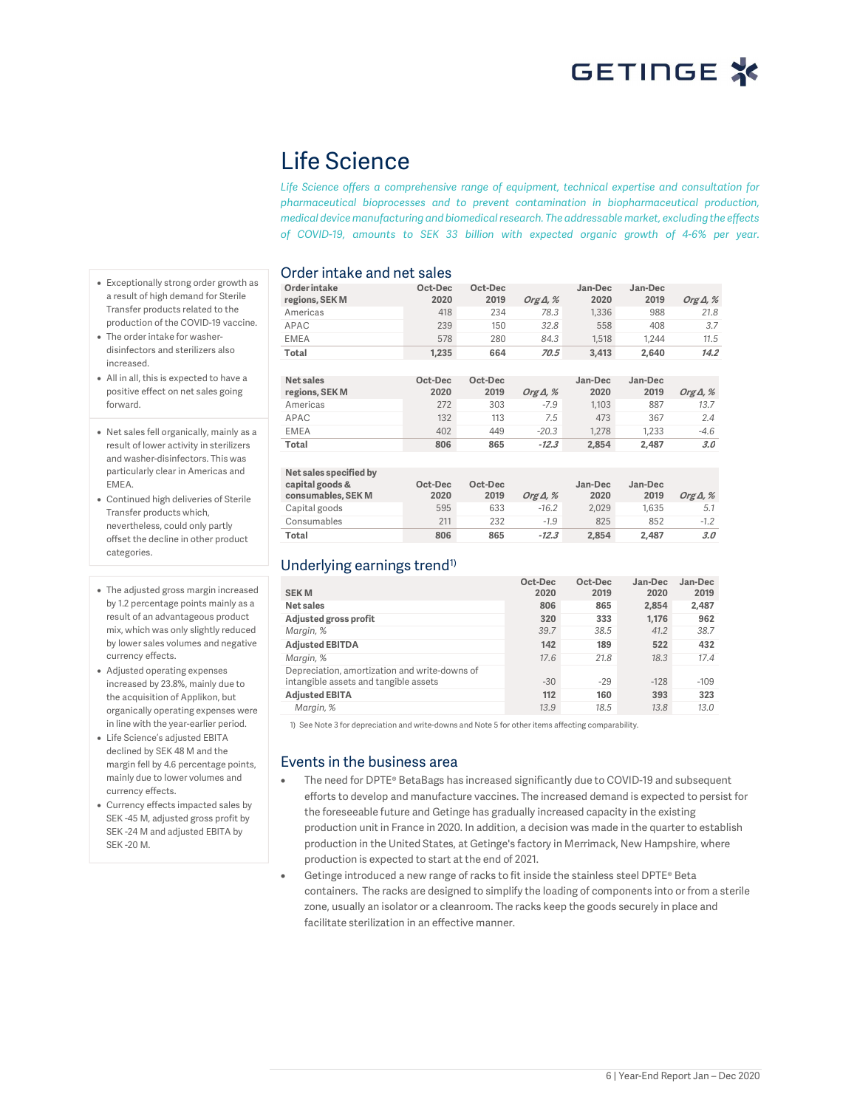## Life Science

Life Science offers a comprehensive range of equipment, technical expertise and consultation for pharmaceutical bioprocesses and to prevent contamination in biopharmaceutical production, medical device manufacturing and biomedical research. The addressable market, excluding the effects of COVID-19, amounts to SEK 33 billion with expected organic growth of 4-6% per year.

### Order intake and net sales

| Order intake<br>regions, SEK M | Oct-Dec<br>2020 | Oct-Dec<br>2019 | Org $\Delta$ , % | Jan-Dec<br>2020 | Jan-Dec<br>2019 | Org $\Delta$ , % |
|--------------------------------|-----------------|-----------------|------------------|-----------------|-----------------|------------------|
| Americas                       | 418             | 234             | 78.3             | 1,336           | 988             | 21.8             |
| APAC                           | 239             | 150             | 32.8             | 558             | 408             | 3.7              |
| <b>EMEA</b>                    | 578             | 280             | 84.3             | 1.518           | 1.244           | 11.5             |
| Total                          | 1,235           | 664             | 70.5             | 3.413           | 2.640           | 14.2             |
|                                |                 |                 |                  |                 |                 |                  |
| Net sales                      | Oct-Dec         | Oct-Dec         |                  | Jan-Dec         | Jan-Dec         |                  |
|                                |                 |                 |                  |                 |                 |                  |
| regions, SEK M                 | 2020            | 2019            | Org $\Delta$ , % | 2020            | 2019            | Org $\Delta$ , % |
| Americas                       | 272             | 303             | $-7.9$           | 1.103           | 887             | 13.7             |
| APAC                           | 132             | 113             | 7.5              | 473             | 367             | 2.4              |
| <b>EMEA</b>                    | 402             | 449             | $-20.3$          | 1.278           | 1.233           | $-4.6$           |
| Total                          | 806             | 865             | $-12.3$          | 2,854           | 2.487           | 3.0              |
|                                |                 |                 |                  |                 |                 |                  |

| Net sales specified by<br>capital goods &<br>consumables, SEK M | Oct-Dec<br>2020 | Oct-Dec<br>2019 | Org $\Delta$ , % | Jan-Dec<br>2020 | Jan-Dec<br>2019 | Org $\Delta$ , % |
|-----------------------------------------------------------------|-----------------|-----------------|------------------|-----------------|-----------------|------------------|
| Capital goods                                                   | 595             | 633             | $-16.2$          | 2.029           | 1.635           | 5.1              |
| Consumables                                                     | 211             | 232             | $-1.9$           | 825             | 852             | $-1.2$           |
| Total                                                           | 806             | 865             | $-12.3$          | 2.854           | 2.487           | 3.0              |

### Underlying earnings trend<sup>1)</sup>

| <b>SEKM</b>                                   | Oct-Dec<br>2020 | Oct-Dec<br>2019 | Jan-Dec<br>2020 | Jan-Dec<br>2019 |
|-----------------------------------------------|-----------------|-----------------|-----------------|-----------------|
| Net sales                                     | 806             | 865             | 2.854           | 2,487           |
| Adjusted gross profit                         | 320             | 333             | 1.176           | 962             |
| Margin, %                                     | 39.7            | 38.5            | 41.2            | 38.7            |
| <b>Adjusted EBITDA</b>                        | 142             | 189             | 522             | 432             |
| Margin, %                                     | 17.6            | 21.8            | 18.3            | 17.4            |
| Depreciation, amortization and write-downs of |                 |                 |                 |                 |
| intangible assets and tangible assets         | $-30$           | $-29$           | $-128$          | $-109$          |
| <b>Adjusted EBITA</b>                         | 112             | 160             | 393             | 323             |
| Margin, %                                     | 13.9            | 18.5            | 13.8            | 13.0            |

1) See Note 3 for depreciation and write-downs and Note 5 for other items affecting comparability.

### Events in the business area

- The need for DPTE® BetaBags has increased significantly due to COVID-19 and subsequent efforts to develop and manufacture vaccines. The increased demand is expected to persist for the foreseeable future and Getinge has gradually increased capacity in the existing production unit in France in 2020. In addition, a decision was made in the quarter to establish production in the United States, at Getinge's factory in Merrimack, New Hampshire, where production is expected to start at the end of 2021.
- Getinge introduced a new range of racks to fit inside the stainless steel DPTE® Beta containers. The racks are designed to simplify the loading of components into or from a sterile zone, usually an isolator or a cleanroom. The racks keep the goods securely in place and facilitate sterilization in an effective manner.
- Exceptionally strong order growth as a result of high demand for Sterile Transfer products related to the production of the COVID-19 vaccine.
- The order intake for washerdisinfectors and sterilizers also increased.
- All in all, this is expected to have a positive effect on net sales going forward.
- Net sales fell organically, mainly as a result of lower activity in sterilizers and washer-disinfectors. This was particularly clear in Americas and EMEA.
- Continued high deliveries of Sterile Transfer products which, nevertheless, could only partly offset the decline in other product categories.
- The adjusted gross margin increased by 1.2 percentage points mainly as a result of an advantageous product mix, which was only slightly reduced by lower sales volumes and negative currency effects.
- Adjusted operating expenses increased by 23.8%, mainly due to the acquisition of Applikon, but organically operating expenses were in line with the year-earlier period.
- Life Science's adjusted EBITA declined by SEK 48 M and the margin fell by 4.6 percentage points, mainly due to lower volumes and currency effects.
- Currency effects impacted sales by SEK -45 M, adjusted gross profit by SEK -24 M and adjusted EBITA by SEK -20 M.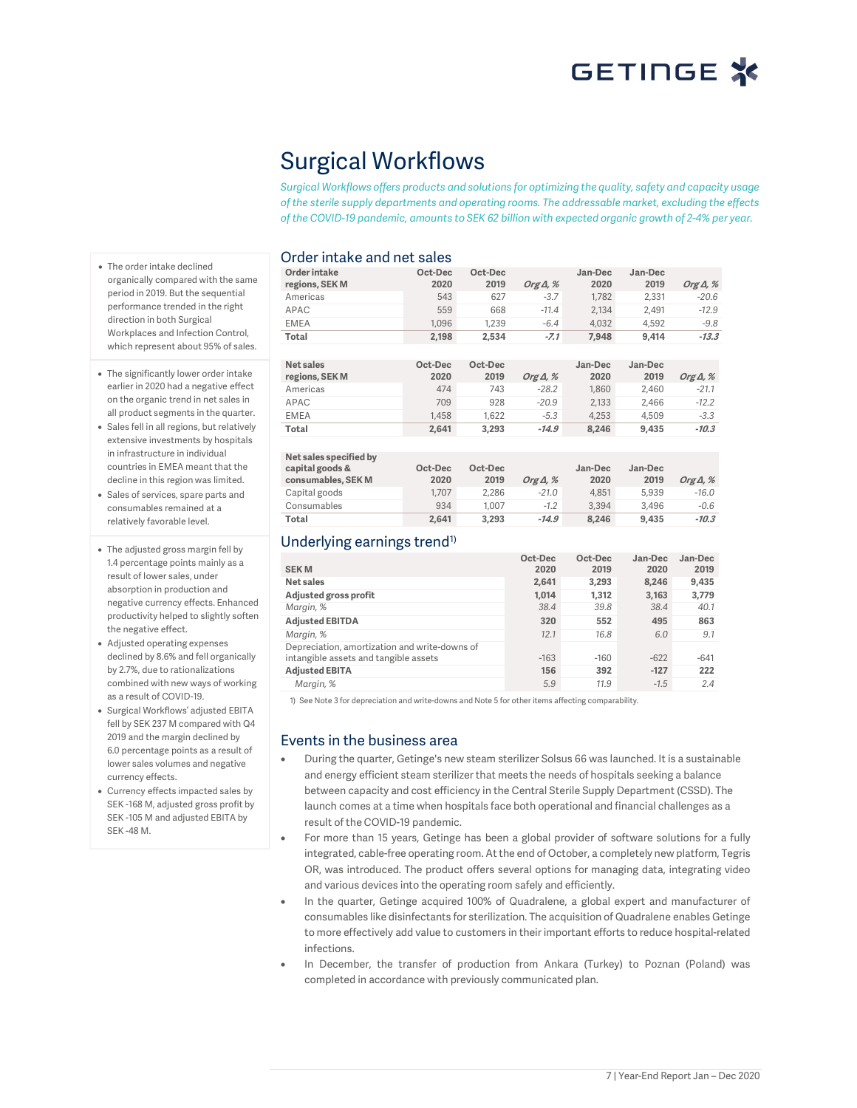# GETINGE X

# Surgical Workflows

Surgical Workflows offers products and solutions for optimizing the quality, safety and capacity usage of the sterile supply departments and operating rooms. The addressable market, excluding the effects of the COVID-19 pandemic, amounts to SEK 62 billion with expected organic growth of 2-4% per year.

### Order intake and net sales

| Order intake<br>regions, SEK M | Oct-Dec<br>2020 | Oct-Dec<br>2019 | Org $\Delta$ , % | Jan-Dec<br>2020 | Jan-Dec<br>2019 | Org $\Delta$ , % |
|--------------------------------|-----------------|-----------------|------------------|-----------------|-----------------|------------------|
| Americas                       | 543             | 627             | $-3.7$           | 1.782           | 2.331           | $-20.6$          |
| APAC                           | 559             | 668             | $-11.4$          | 2.134           | 2.491           | $-12.9$          |
| <b>EMEA</b>                    | 1.096           | 1.239           | $-6.4$           | 4.032           | 4.592           | $-9.8$           |
| Total                          | 2,198           | 2.534           | $-7.1$           | 7.948           | 9.414           | $-13.3$          |

| Net sales<br>regions, SEK M | Oct-Dec<br>2020 | Oct-Dec<br>2019 | Org $\Delta$ , % | Jan-Dec<br>2020 | Jan-Dec<br>2019 | Org $\Delta$ , % |
|-----------------------------|-----------------|-----------------|------------------|-----------------|-----------------|------------------|
| Americas                    | 474             | 743             | $-28.2$          | 1.860           | 2.460           | $-21.1$          |
| <b>APAC</b>                 | 709             | 928             | $-20.9$          | 2.133           | 2.466           | $-12.2$          |
| <b>EMEA</b>                 | 1.458           | 1.622           | $-5.3$           | 4.253           | 4.509           | $-3.3$           |
| Total                       | 2.641           | 3.293           | $-14.9$          | 8.246           | 9.435           | $-10.3$          |

| Net sales specified by<br>capital goods &<br>consumables, SEK M | Oct-Dec<br>2020 | Oct-Dec<br>2019 | Org $\Delta$ , % | Jan-Dec<br>2020 | Jan-Dec<br>2019 | Org $\Delta$ , % |
|-----------------------------------------------------------------|-----------------|-----------------|------------------|-----------------|-----------------|------------------|
| Capital goods                                                   | 1.707           | 2.286           | $-21.0$          | 4.851           | 5.939           | $-16.0$          |
| Consumables                                                     | 934             | 1.007           | $-1.2$           | 3.394           | 3.496           | $-0.6$           |
| Total                                                           | 2,641           | 3.293           | $-14.9$          | 8.246           | 9.435           | $-10.3$          |

### Underlying earnings trend<sup>1)</sup>

| <b>SEKM</b>                                                                            | Oct-Dec<br>2020 | Oct-Dec<br>2019 | Jan-Dec<br>2020 | Jan-Dec<br>2019 |
|----------------------------------------------------------------------------------------|-----------------|-----------------|-----------------|-----------------|
| <b>Net sales</b>                                                                       | 2,641           | 3,293           | 8.246           | 9,435           |
| Adjusted gross profit                                                                  | 1.014           | 1.312           | 3,163           | 3,779           |
| Margin, %                                                                              | 38.4            | 39.8            | 38.4            | 40.1            |
| <b>Adjusted EBITDA</b>                                                                 | 320             | 552             | 495             | 863             |
| Margin, %                                                                              | 12.1            | 16.8            | 6.0             | 9.1             |
| Depreciation, amortization and write-downs of<br>intangible assets and tangible assets | $-163$          | $-160$          | $-622$          | $-641$          |
| <b>Adjusted EBITA</b>                                                                  | 156             | 392             | $-127$          | 222             |
| Margin, %                                                                              | 5.9             | 11.9            | $-1.5$          | 2.4             |

1) See Note 3 for depreciation and write-downs and Note 5 for other items affecting comparability.

#### Events in the business area

- During the quarter, Getinge's new steam sterilizer Solsus 66 was launched. It is a sustainable and energy efficient steam sterilizer that meets the needs of hospitals seeking a balance between capacity and cost efficiency in the Central Sterile Supply Department (CSSD). The launch comes at a time when hospitals face both operational and financial challenges as a result of the COVID-19 pandemic.
- For more than 15 years, Getinge has been a global provider of software solutions for a fully integrated, cable-free operating room. At the end of October, a completely new platform, Tegris OR, was introduced. The product offers several options for managing data, integrating video and various devices into the operating room safely and efficiently.
- In the quarter, Getinge acquired 100% of Quadralene, a global expert and manufacturer of consumables like disinfectants for sterilization. The acquisition of Quadralene enables Getinge to more effectively add value to customers in their important efforts to reduce hospital-related infections.
- In December, the transfer of production from Ankara (Turkey) to Poznan (Poland) was completed in accordance with previously communicated plan.
- The order intake declined organically compared with the same period in 2019. But the sequential performance trended in the right direction in both Surgical Workplaces and Infection Control, which represent about 95% of sales.
- The significantly lower order intake earlier in 2020 had a negative effect on the organic trend in net sales in all product segments in the quarter.
- Sales fell in all regions, but relatively extensive investments by hospitals in infrastructure in individual countries in EMEA meant that the decline in this region was limited.
- Sales of services, spare parts and consumables remained at a relatively favorable level.
- The adjusted gross margin fell by 1.4 percentage points mainly as a result of lower sales, under absorption in production and negative currency effects. Enhanced productivity helped to slightly soften the negative effect.
- Adjusted operating expenses declined by 8.6% and fell organically by 2.7%, due to rationalizations combined with new ways of working as a result of COVID-19.
- Surgical Workflows' adjusted EBITA fell by SEK 237 M compared with Q4 2019 and the margin declined by 6.0 percentage points as a result of lower sales volumes and negative currency effects.
- Currency effects impacted sales by SEK -168 M, adjusted gross profit by SEK -105 M and adjusted EBITA by SEK -48 M.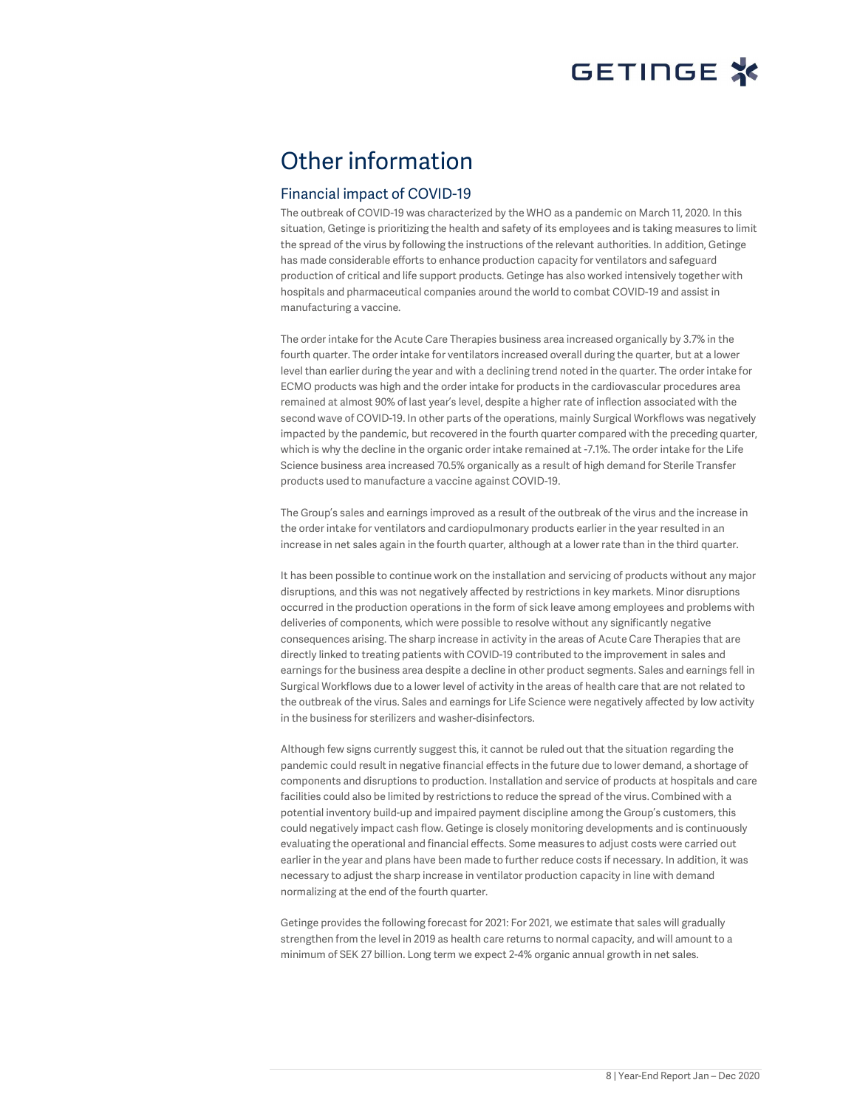## Other information

### Financial impact of COVID-19

The outbreak of COVID-19 was characterized by the WHO as a pandemic on March 11, 2020. In this situation, Getinge is prioritizing the health and safety of its employees and is taking measures to limit the spread of the virus by following the instructions of the relevant authorities. In addition, Getinge has made considerable efforts to enhance production capacity for ventilators and safeguard production of critical and life support products. Getinge has also worked intensively together with hospitals and pharmaceutical companies around the world to combat COVID-19 and assist in manufacturing a vaccine.

The order intake for the Acute Care Therapies business area increased organically by 3.7% in the fourth quarter. The order intake for ventilators increased overall during the quarter, but at a lower level than earlier during the year and with a declining trend noted in the quarter. The order intake for ECMO products was high and the order intake for products in the cardiovascular procedures area remained at almost 90% of last year's level, despite a higher rate of inflection associated with the second wave of COVID-19. In other parts of the operations, mainly Surgical Workflows was negatively impacted by the pandemic, but recovered in the fourth quarter compared with the preceding quarter, which is why the decline in the organic order intake remained at -7.1%. The order intake for the Life Science business area increased 70.5% organically as a result of high demand for Sterile Transfer products used to manufacture a vaccine against COVID-19.

The Group's sales and earnings improved as a result of the outbreak of the virus and the increase in the order intake for ventilators and cardiopulmonary products earlier in the year resulted in an increase in net sales again in the fourth quarter, although at a lower rate than in the third quarter.

It has been possible to continue work on the installation and servicing of products without any major disruptions, and this was not negatively affected by restrictions in key markets. Minor disruptions occurred in the production operations in the form of sick leave among employees and problems with deliveries of components, which were possible to resolve without any significantly negative consequences arising. The sharp increase in activity in the areas of Acute Care Therapies that are directly linked to treating patients with COVID-19 contributed to the improvement in sales and earnings for the business area despite a decline in other product segments. Sales and earnings fell in Surgical Workflows due to a lower level of activity in the areas of health care that are not related to the outbreak of the virus. Sales and earnings for Life Science were negatively affected by low activity in the business for sterilizers and washer-disinfectors.

Although few signs currently suggest this, it cannot be ruled out that the situation regarding the pandemic could result in negative financial effects in the future due to lower demand, a shortage of components and disruptions to production. Installation and service of products at hospitals and care facilities could also be limited by restrictions to reduce the spread of the virus. Combined with a potential inventory build-up and impaired payment discipline among the Group's customers, this could negatively impact cash flow. Getinge is closely monitoring developments and is continuously evaluating the operational and financial effects. Some measures to adjust costs were carried out earlier in the year and plans have been made to further reduce costs if necessary. In addition, it was necessary to adjust the sharp increase in ventilator production capacity in line with demand normalizing at the end of the fourth quarter.

Getinge provides the following forecast for 2021: For 2021, we estimate that sales will gradually strengthen from the level in 2019 as health care returns to normal capacity, and will amount to a minimum of SEK 27 billion. Long term we expect 2-4% organic annual growth in net sales.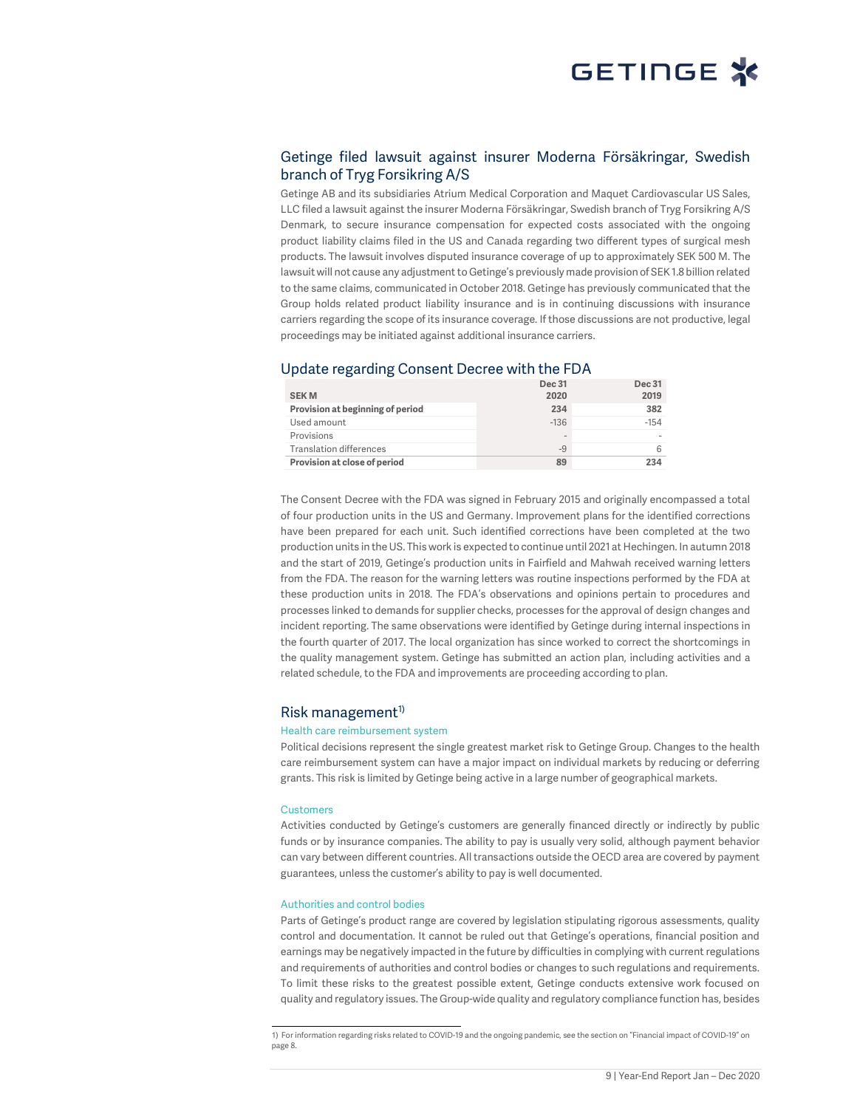

### Getinge filed lawsuit against insurer Moderna Försäkringar, Swedish branch of Tryg Forsikring A/S

Getinge AB and its subsidiaries Atrium Medical Corporation and Maquet Cardiovascular US Sales, LLC filed a lawsuit against the insurer Moderna Försäkringar, Swedish branch of Tryg Forsikring A/S Denmark, to secure insurance compensation for expected costs associated with the ongoing product liability claims filed in the US and Canada regarding two different types of surgical mesh products. The lawsuit involves disputed insurance coverage of up to approximately SEK 500 M. The lawsuit will not cause any adjustment to Getinge's previously made provision of SEK 1.8 billion related to the same claims, communicated in October 2018. Getinge has previously communicated that the Group holds related product liability insurance and is in continuing discussions with insurance carriers regarding the scope of its insurance coverage. If those discussions are not productive, legal proceedings may be initiated against additional insurance carriers.

#### Update regarding Consent Decree with the FDA

|                                  | Dec 31                   | <b>Dec 31</b> |
|----------------------------------|--------------------------|---------------|
| <b>SEKM</b>                      | 2020                     | 2019          |
| Provision at beginning of period | 234                      | 382           |
| Used amount                      | $-136$                   | $-154$        |
| Provisions                       | $\overline{\phantom{a}}$ |               |
| <b>Translation differences</b>   | $-9$                     | 6             |
| Provision at close of period     | 89                       | 234           |
|                                  |                          |               |

The Consent Decree with the FDA was signed in February 2015 and originally encompassed a total of four production units in the US and Germany. Improvement plans for the identified corrections have been prepared for each unit. Such identified corrections have been completed at the two production units in the US. This work is expected to continue until 2021 at Hechingen. In autumn 2018 and the start of 2019, Getinge's production units in Fairfield and Mahwah received warning letters from the FDA. The reason for the warning letters was routine inspections performed by the FDA at these production units in 2018. The FDA's observations and opinions pertain to procedures and processes linked to demands for supplier checks, processes for the approval of design changes and incident reporting. The same observations were identified by Getinge during internal inspections in the fourth quarter of 2017. The local organization has since worked to correct the shortcomings in the quality management system. Getinge has submitted an action plan, including activities and a related schedule, to the FDA and improvements are proceeding according to plan.

#### $Risk$  management<sup> $1)$ </sup>

#### Health care reimbursement system

Political decisions represent the single greatest market risk to Getinge Group. Changes to the health care reimbursement system can have a major impact on individual markets by reducing or deferring grants. This risk is limited by Getinge being active in a large number of geographical markets.

#### **Customers**

Activities conducted by Getinge's customers are generally financed directly or indirectly by public funds or by insurance companies. The ability to pay is usually very solid, although payment behavior can vary between different countries. All transactions outside the OECD area are covered by payment guarantees, unless the customer's ability to pay is well documented.

#### Authorities and control bodies

Parts of Getinge's product range are covered by legislation stipulating rigorous assessments, quality control and documentation. It cannot be ruled out that Getinge's operations, financial position and earnings may be negatively impacted in the future by difficulties in complying with current regulations and requirements of authorities and control bodies or changes to such regulations and requirements. To limit these risks to the greatest possible extent, Getinge conducts extensive work focused on quality and regulatory issues. The Group-wide quality and regulatory compliance function has, besides

 1) For information regarding risks related to COVID-19 and the ongoing pandemic, see the section on "Financial impact of COVID-19" on page 8.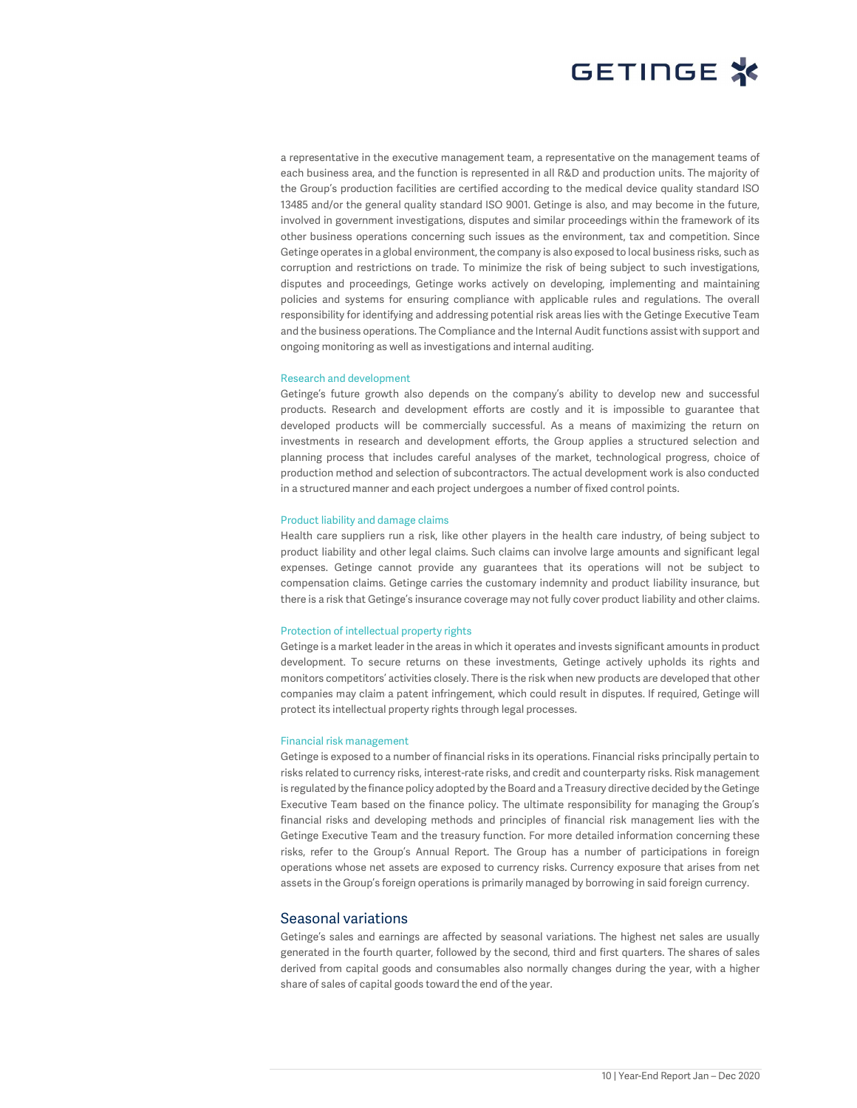

a representative in the executive management team, a representative on the management teams of each business area, and the function is represented in all R&D and production units. The majority of the Group's production facilities are certified according to the medical device quality standard ISO 13485 and/or the general quality standard ISO 9001. Getinge is also, and may become in the future, involved in government investigations, disputes and similar proceedings within the framework of its other business operations concerning such issues as the environment, tax and competition. Since Getinge operates in a global environment, the company is also exposed to local business risks, such as corruption and restrictions on trade. To minimize the risk of being subject to such investigations, disputes and proceedings, Getinge works actively on developing, implementing and maintaining policies and systems for ensuring compliance with applicable rules and regulations. The overall responsibility for identifying and addressing potential risk areas lies with the Getinge Executive Team and the business operations. The Compliance and the Internal Audit functions assist with support and ongoing monitoring as well as investigations and internal auditing.

#### Research and development

Getinge's future growth also depends on the company's ability to develop new and successful products. Research and development efforts are costly and it is impossible to guarantee that developed products will be commercially successful. As a means of maximizing the return on investments in research and development efforts, the Group applies a structured selection and planning process that includes careful analyses of the market, technological progress, choice of production method and selection of subcontractors. The actual development work is also conducted in a structured manner and each project undergoes a number of fixed control points.

#### Product liability and damage claims

Health care suppliers run a risk, like other players in the health care industry, of being subject to product liability and other legal claims. Such claims can involve large amounts and significant legal expenses. Getinge cannot provide any guarantees that its operations will not be subject to compensation claims. Getinge carries the customary indemnity and product liability insurance, but there is a risk that Getinge's insurance coverage may not fully cover product liability and other claims.

#### Protection of intellectual property rights

Getinge is a market leader in the areas in which it operates and invests significant amounts in product development. To secure returns on these investments, Getinge actively upholds its rights and monitors competitors' activities closely. There is the risk when new products are developed that other companies may claim a patent infringement, which could result in disputes. If required, Getinge will protect its intellectual property rights through legal processes.

#### Financial risk management

Getinge is exposed to a number of financial risks in its operations. Financial risks principally pertain to risks related to currency risks, interest-rate risks, and credit and counterparty risks. Risk management is regulated by the finance policy adopted by the Board and a Treasury directive decided by the Getinge Executive Team based on the finance policy. The ultimate responsibility for managing the Group's financial risks and developing methods and principles of financial risk management lies with the Getinge Executive Team and the treasury function. For more detailed information concerning these risks, refer to the Group's Annual Report. The Group has a number of participations in foreign operations whose net assets are exposed to currency risks. Currency exposure that arises from net assets in the Group's foreign operations is primarily managed by borrowing in said foreign currency.

#### Seasonal variations

Getinge's sales and earnings are affected by seasonal variations. The highest net sales are usually generated in the fourth quarter, followed by the second, third and first quarters. The shares of sales derived from capital goods and consumables also normally changes during the year, with a higher share of sales of capital goods toward the end of the year.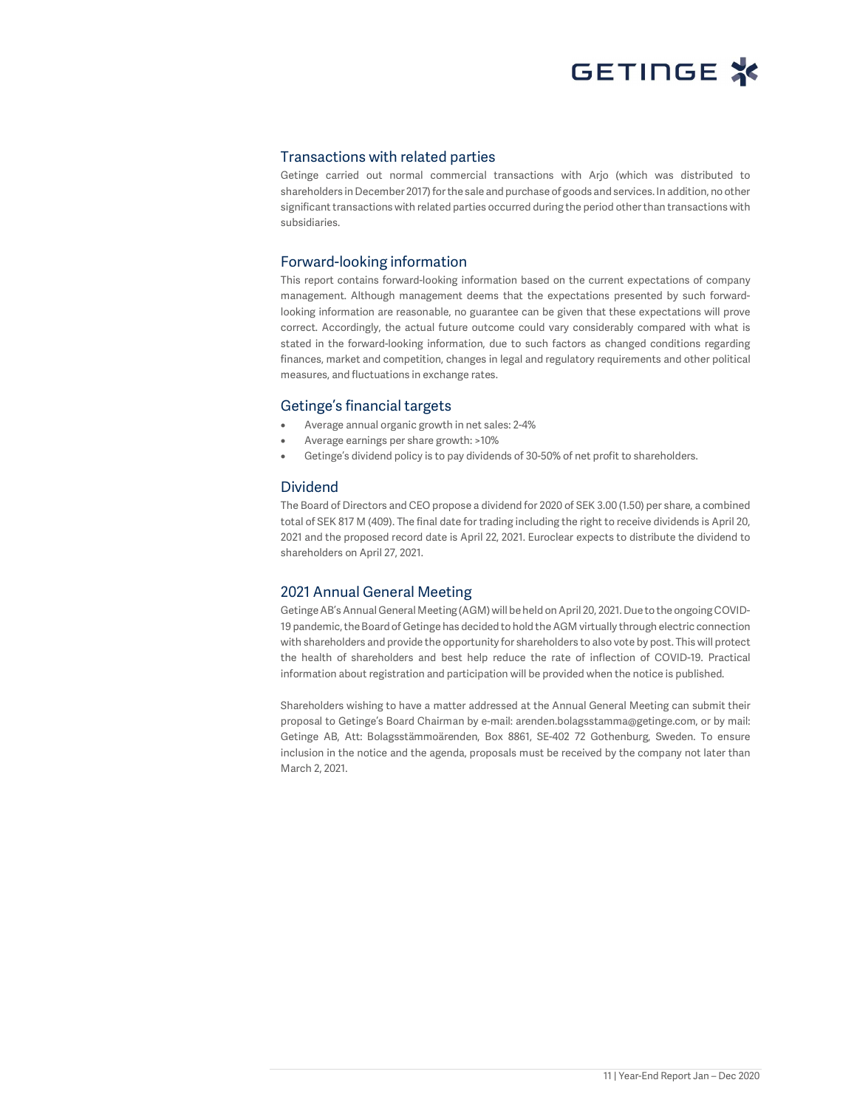#### Transactions with related parties

Getinge carried out normal commercial transactions with Arjo (which was distributed to shareholders in December 2017) for the sale and purchase of goods and services. In addition, no other significant transactions with related parties occurred during the period other than transactions with subsidiaries.

### Forward-looking information

This report contains forward-looking information based on the current expectations of company management. Although management deems that the expectations presented by such forwardlooking information are reasonable, no guarantee can be given that these expectations will prove correct. Accordingly, the actual future outcome could vary considerably compared with what is stated in the forward-looking information, due to such factors as changed conditions regarding finances, market and competition, changes in legal and regulatory requirements and other political measures, and fluctuations in exchange rates.

#### Getinge's financial targets

- Average annual organic growth in net sales: 2-4%
- Average earnings per share growth: >10%
- Getinge's dividend policy is to pay dividends of 30-50% of net profit to shareholders.

#### Dividend

The Board of Directors and CEO propose a dividend for 2020 of SEK 3.00 (1.50) per share, a combined total of SEK 817 M (409). The final date for trading including the right to receive dividends is April 20, 2021 and the proposed record date is April 22, 2021. Euroclear expects to distribute the dividend to shareholders on April 27, 2021.

### 2021 Annual General Meeting

Getinge AB's Annual General Meeting (AGM) will be held on April 20, 2021. Due to the ongoing COVID-19 pandemic, the Board of Getinge has decided to hold the AGM virtually through electric connection with shareholders and provide the opportunity for shareholders to also vote by post. This will protect the health of shareholders and best help reduce the rate of inflection of COVID-19. Practical information about registration and participation will be provided when the notice is published.

Shareholders wishing to have a matter addressed at the Annual General Meeting can submit their proposal to Getinge's Board Chairman by e-mail: arenden.bolagsstamma@getinge.com, or by mail: Getinge AB, Att: Bolagsstämmoärenden, Box 8861, SE-402 72 Gothenburg, Sweden. To ensure inclusion in the notice and the agenda, proposals must be received by the company not later than March 2, 2021.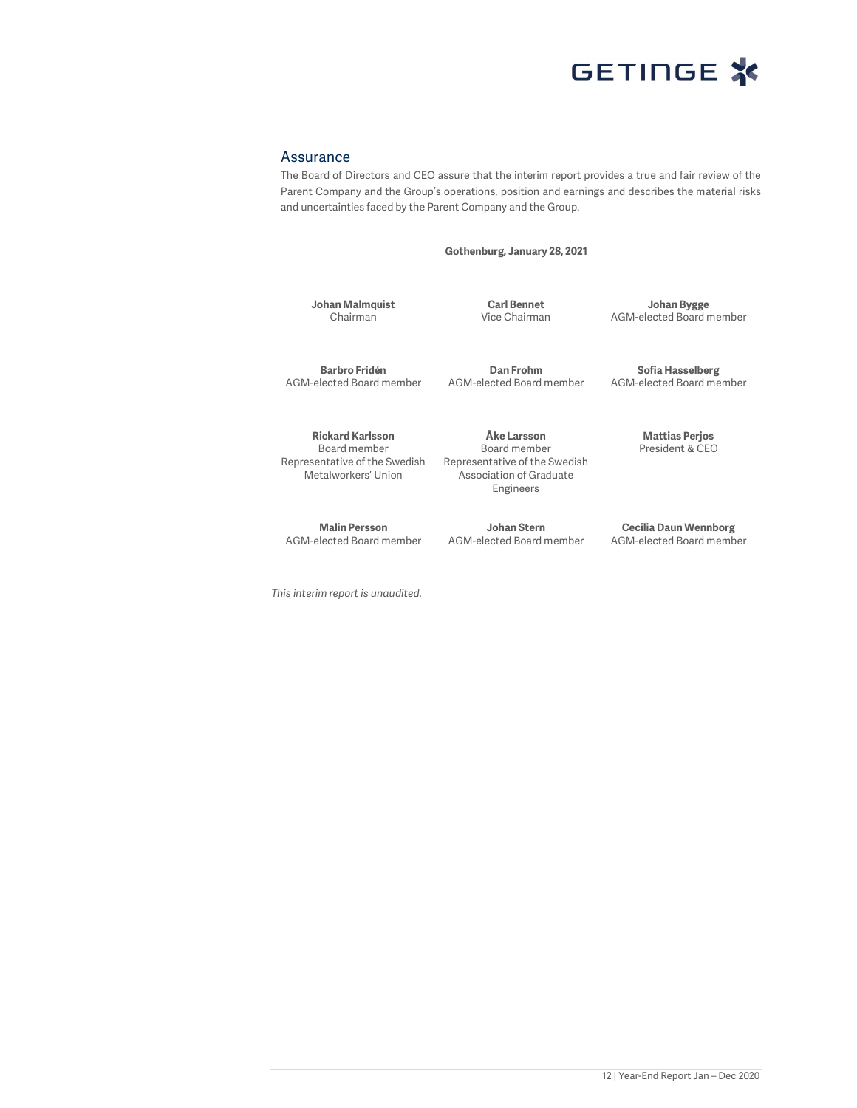

#### Assurance

The Board of Directors and CEO assure that the interim report provides a true and fair review of the Parent Company and the Group's operations, position and earnings and describes the material risks and uncertainties faced by the Parent Company and the Group.

Gothenburg, January 28, 2021

Johan Malmquist Chairman

Carl Bennet Vice Chairman

Johan Bygge AGM-elected Board member

Barbro Fridén AGM-elected Board member

Dan Frohm AGM-elected Board member

Rickard Karlsson Board member Representative of the Swedish Metalworkers' Union

Malin Persson AGM-elected Board member

This interim report is unaudited.

Åke Larsson Board member Representative of the Swedish Association of Graduate Engineers

Johan Stern AGM-elected Board member Sofia Hasselberg

AGM-elected Board member

Mattias Perjos President & CEO

Cecilia Daun Wennborg AGM-elected Board member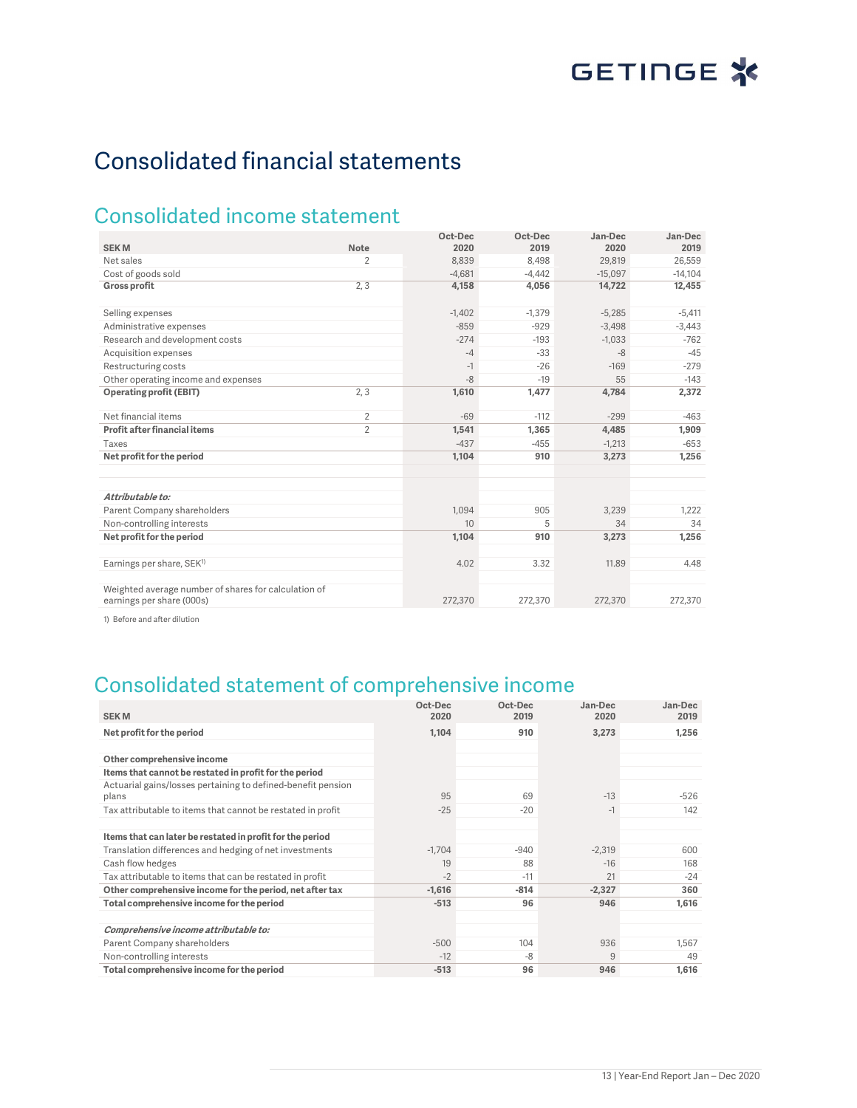# Consolidated financial statements

## Consolidated income statement

|                                                                                   |                | Oct-Dec  | Oct-Dec  | Jan-Dec   | Jan-Dec   |
|-----------------------------------------------------------------------------------|----------------|----------|----------|-----------|-----------|
| <b>SEKM</b>                                                                       | Note           | 2020     | 2019     | 2020      | 2019      |
| Net sales                                                                         | 2              | 8,839    | 8.498    | 29,819    | 26,559    |
| Cost of goods sold                                                                |                | $-4.681$ | $-4.442$ | $-15,097$ | $-14,104$ |
| <b>Gross profit</b>                                                               | 2, 3           | 4,158    | 4,056    | 14,722    | 12,455    |
| Selling expenses                                                                  |                | $-1,402$ | $-1,379$ | $-5,285$  | $-5,411$  |
| Administrative expenses                                                           |                | $-859$   | $-929$   | $-3,498$  | $-3,443$  |
| Research and development costs                                                    |                | $-274$   | $-193$   | $-1.033$  | $-762$    |
| Acquisition expenses                                                              |                | $-4$     | $-33$    | $-8$      | $-45$     |
| Restructuring costs                                                               |                | $-1$     | $-26$    | $-169$    | $-279$    |
| Other operating income and expenses                                               |                | $-8$     | $-19$    | 55        | $-143$    |
| <b>Operating profit (EBIT)</b>                                                    | 2, 3           | 1,610    | 1,477    | 4,784     | 2,372     |
| Net financial items                                                               | $\overline{2}$ | $-69$    | $-112$   | $-299$    | $-463$    |
| Profit after financial items                                                      | $\overline{2}$ | 1,541    | 1,365    | 4,485     | 1,909     |
| Taxes                                                                             |                | $-437$   | $-455$   | $-1,213$  | $-653$    |
| Net profit for the period                                                         |                | 1,104    | 910      | 3,273     | 1,256     |
| Attributable to:                                                                  |                |          |          |           |           |
| Parent Company shareholders                                                       |                | 1.094    | 905      | 3.239     | 1.222     |
| Non-controlling interests                                                         |                | 10       | 5        | 34        | 34        |
| Net profit for the period                                                         |                | 1,104    | 910      | 3,273     | 1,256     |
| Earnings per share, SEK <sup>1)</sup>                                             |                | 4.02     | 3.32     | 11.89     | 4.48      |
| Weighted average number of shares for calculation of<br>earnings per share (000s) |                | 272,370  | 272,370  | 272,370   | 272,370   |

1) Before and after dilution

## Consolidated statement of comprehensive income

| <b>SEKM</b>                                                           | Oct-Dec<br>2020 | Oct-Dec<br>2019 | Jan-Dec<br>2020 | Jan-Dec<br>2019 |
|-----------------------------------------------------------------------|-----------------|-----------------|-----------------|-----------------|
| Net profit for the period                                             | 1,104           | 910             | 3,273           | 1,256           |
|                                                                       |                 |                 |                 |                 |
| Other comprehensive income                                            |                 |                 |                 |                 |
| Items that cannot be restated in profit for the period                |                 |                 |                 |                 |
| Actuarial gains/losses pertaining to defined-benefit pension<br>plans | 95              | 69              | $-13$           | -526            |
| Tax attributable to items that cannot be restated in profit           | $-25$           | $-20$           | $-1$            | 142             |
|                                                                       |                 |                 |                 |                 |
| Items that can later be restated in profit for the period             |                 |                 |                 |                 |
| Translation differences and hedging of net investments                | $-1,704$        | $-940$          | $-2,319$        | 600             |
| Cash flow hedges                                                      | 19              | 88              | $-16$           | 168             |
| Tax attributable to items that can be restated in profit              | $-2$            | $-11$           | 21              | $-24$           |
| Other comprehensive income for the period, net after tax              | $-1,616$        | $-814$          | $-2,327$        | 360             |
| Total comprehensive income for the period                             | $-513$          | 96              | 946             | 1,616           |
|                                                                       |                 |                 |                 |                 |
| Comprehensive income attributable to:                                 |                 |                 |                 |                 |
| Parent Company shareholders                                           | $-500$          | 104             | 936             | 1.567           |
| Non-controlling interests                                             | $-12$           | -8              | 9               | 49              |
| Total comprehensive income for the period                             | $-513$          | 96              | 946             | 1,616           |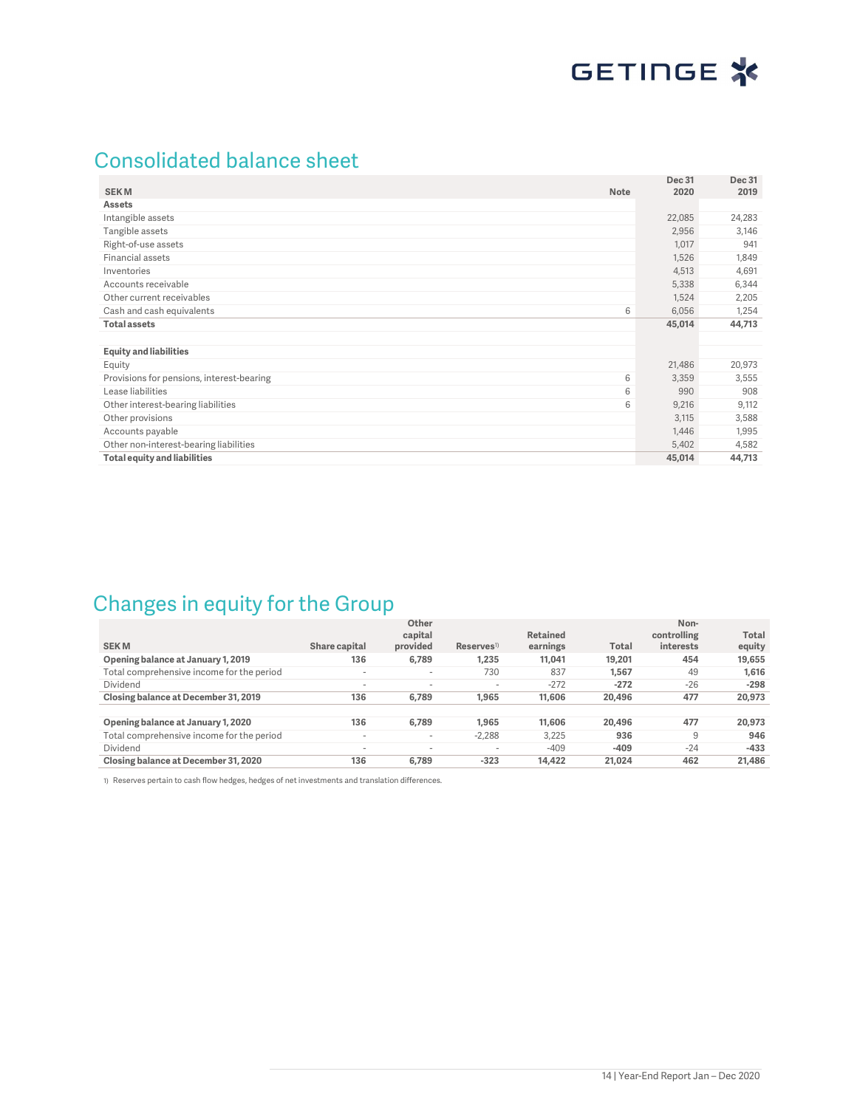## Consolidated balance sheet

| <b>SEKM</b><br><b>Note</b>                     | <b>Dec 31</b><br>2020 | <b>Dec 31</b><br>2019 |
|------------------------------------------------|-----------------------|-----------------------|
| <b>Assets</b>                                  |                       |                       |
| Intangible assets                              | 22,085                | 24,283                |
| Tangible assets                                | 2,956                 | 3,146                 |
| Right-of-use assets                            | 1,017                 | 941                   |
| Financial assets                               | 1,526                 | 1,849                 |
| Inventories                                    | 4,513                 | 4,691                 |
| Accounts receivable                            | 5,338                 | 6,344                 |
| Other current receivables                      | 1,524                 | 2,205                 |
| Cash and cash equivalents<br>6                 | 6,056                 | 1,254                 |
| <b>Total assets</b>                            | 45,014                | 44,713                |
|                                                |                       |                       |
| <b>Equity and liabilities</b>                  |                       |                       |
| Equity                                         | 21,486                | 20,973                |
| Provisions for pensions, interest-bearing<br>6 | 3,359                 | 3,555                 |
| Lease liabilities<br>6                         | 990                   | 908                   |
| Other interest-bearing liabilities<br>6        | 9,216                 | 9,112                 |
| Other provisions                               | 3,115                 | 3,588                 |
| Accounts payable                               | 1,446                 | 1,995                 |
| Other non-interest-bearing liabilities         | 5,402                 | 4,582                 |
| <b>Total equity and liabilities</b>            | 45,014                | 44,713                |

## Changes in equity for the Group

|                                           |                          | Other<br>capital         |                          | Retained |        | Non-<br>controlling | <b>Total</b> |
|-------------------------------------------|--------------------------|--------------------------|--------------------------|----------|--------|---------------------|--------------|
| <b>SEKM</b>                               | Share capital            | provided                 | $Reserves$ <sup>1)</sup> | earnings | Total  | interests           | equity       |
| Opening balance at January 1, 2019        | 136                      | 6.789                    | 1.235                    | 11.041   | 19.201 | 454                 | 19,655       |
| Total comprehensive income for the period | $\overline{\phantom{a}}$ | $\sim$                   | 730                      | 837      | 1.567  | 49                  | 1,616        |
| Dividend                                  | -                        | $\overline{\phantom{a}}$ | $\overline{\phantom{a}}$ | $-272$   | $-272$ | $-26$               | $-298$       |
| Closing balance at December 31, 2019      | 136                      | 6.789                    | 1.965                    | 11.606   | 20,496 | 477                 | 20,973       |
|                                           |                          |                          |                          |          |        |                     |              |
| Opening balance at January 1, 2020        | 136                      | 6.789                    | 1.965                    | 11.606   | 20.496 | 477                 | 20,973       |
| Total comprehensive income for the period | $\overline{\phantom{a}}$ | $\sim$                   | $-2.288$                 | 3.225    | 936    | 9                   | 946          |
| Dividend                                  | $\overline{\phantom{a}}$ | $\overline{\phantom{a}}$ | $\overline{\phantom{a}}$ | $-409$   | $-409$ | $-24$               | $-433$       |
| Closing balance at December 31, 2020      | 136                      | 6.789                    | $-323$                   | 14.422   | 21.024 | 462                 | 21,486       |

1) Reserves pertain to cash flow hedges, hedges of net investments and translation differences.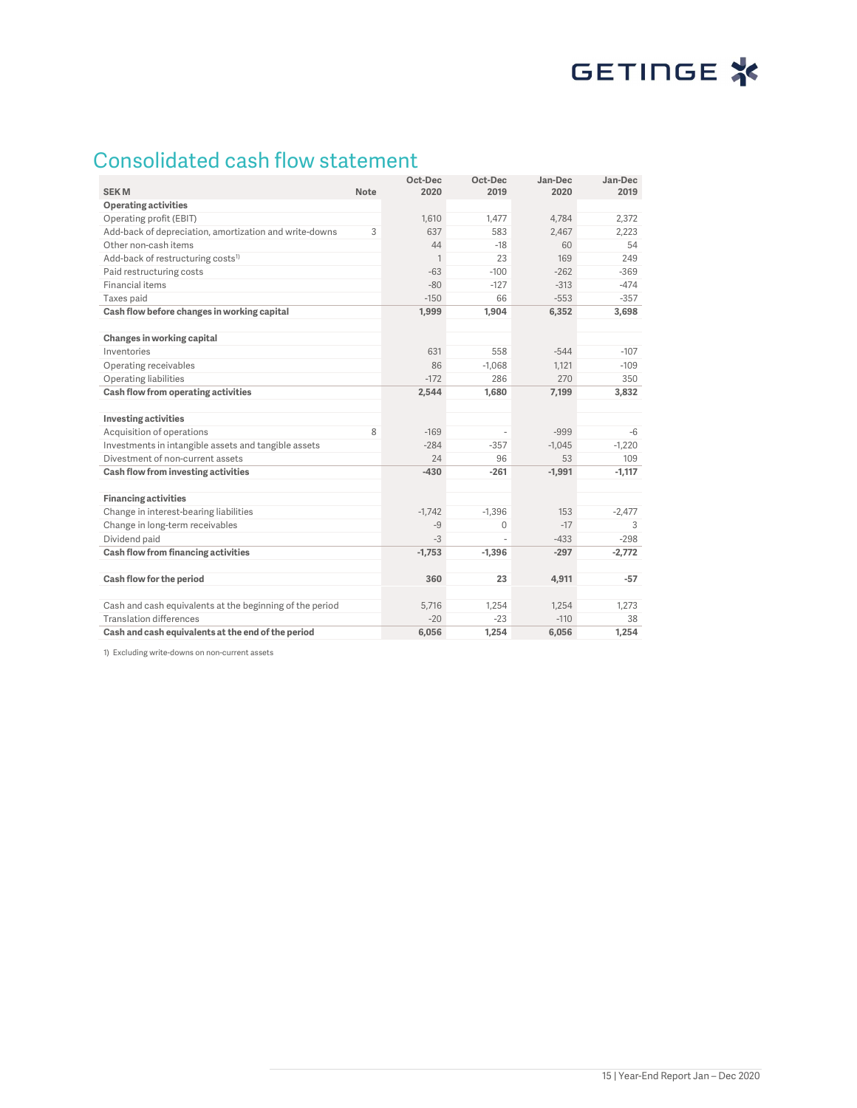# GETINGE<sup>\*</sup>

## Consolidated cash flow statement

| <b>SEKM</b>                                              | <b>Note</b> | Oct-Dec<br>2020 | Oct-Dec<br>2019 | Jan-Dec<br>2020 | Jan-Dec<br>2019 |
|----------------------------------------------------------|-------------|-----------------|-----------------|-----------------|-----------------|
| <b>Operating activities</b>                              |             |                 |                 |                 |                 |
| Operating profit (EBIT)                                  |             | 1,610           | 1,477           | 4,784           | 2,372           |
| Add-back of depreciation, amortization and write-downs   | 3           | 637             | 583             | 2.467           | 2.223           |
| Other non-cash items                                     |             | 44              | $-18$           | 60              | 54              |
| Add-back of restructuring costs <sup>1)</sup>            |             | $\mathbf{1}$    | 23              | 169             | 249             |
| Paid restructuring costs                                 |             | $-63$           | $-100$          | $-262$          | $-369$          |
| Financial items                                          |             | $-80$           | $-127$          | $-313$          | $-474$          |
| Taxes paid                                               |             | $-150$          | 66              | $-553$          | $-357$          |
| Cash flow before changes in working capital              |             | 1,999           | 1,904           | 6,352           | 3,698           |
| Changes in working capital                               |             |                 |                 |                 |                 |
| Inventories                                              |             | 631             | 558             | $-544$          | $-107$          |
| Operating receivables                                    |             | 86              | $-1.068$        | 1.121           | $-109$          |
| Operating liabilities                                    |             | $-172$          | 286             | 270             | 350             |
| Cash flow from operating activities                      |             | 2,544           | 1,680           | 7,199           | 3,832           |
| Investing activities                                     |             |                 |                 |                 |                 |
| Acquisition of operations                                | 8           | $-169$          |                 | $-999$          | $-6$            |
| Investments in intangible assets and tangible assets     |             | $-284$          | $-357$          | $-1.045$        | $-1,220$        |
| Divestment of non-current assets                         |             | 24              | 96              | 53              | 109             |
| Cash flow from investing activities                      |             | $-430$          | $-261$          | $-1,991$        | $-1,117$        |
| <b>Financing activities</b>                              |             |                 |                 |                 |                 |
| Change in interest-bearing liabilities                   |             | $-1.742$        | $-1.396$        | 153             | $-2.477$        |
| Change in long-term receivables                          |             | $-9$            | $\Omega$        | $-17$           | 3               |
| Dividend paid                                            |             | $-3$            |                 | $-433$          | $-298$          |
| Cash flow from financing activities                      |             | $-1,753$        | $-1,396$        | $-297$          | $-2,772$        |
| Cash flow for the period                                 |             | 360             | 23              | 4.911           | $-57$           |
|                                                          |             |                 |                 |                 |                 |
| Cash and cash equivalents at the beginning of the period |             | 5.716           | 1.254           | 1,254           | 1.273           |
| <b>Translation differences</b>                           |             | $-20$           | $-23$           | $-110$          | 38              |
| Cash and cash equivalents at the end of the period       |             | 6,056           | 1,254           | 6,056           | 1,254           |

1) Excluding write-downs on non-current assets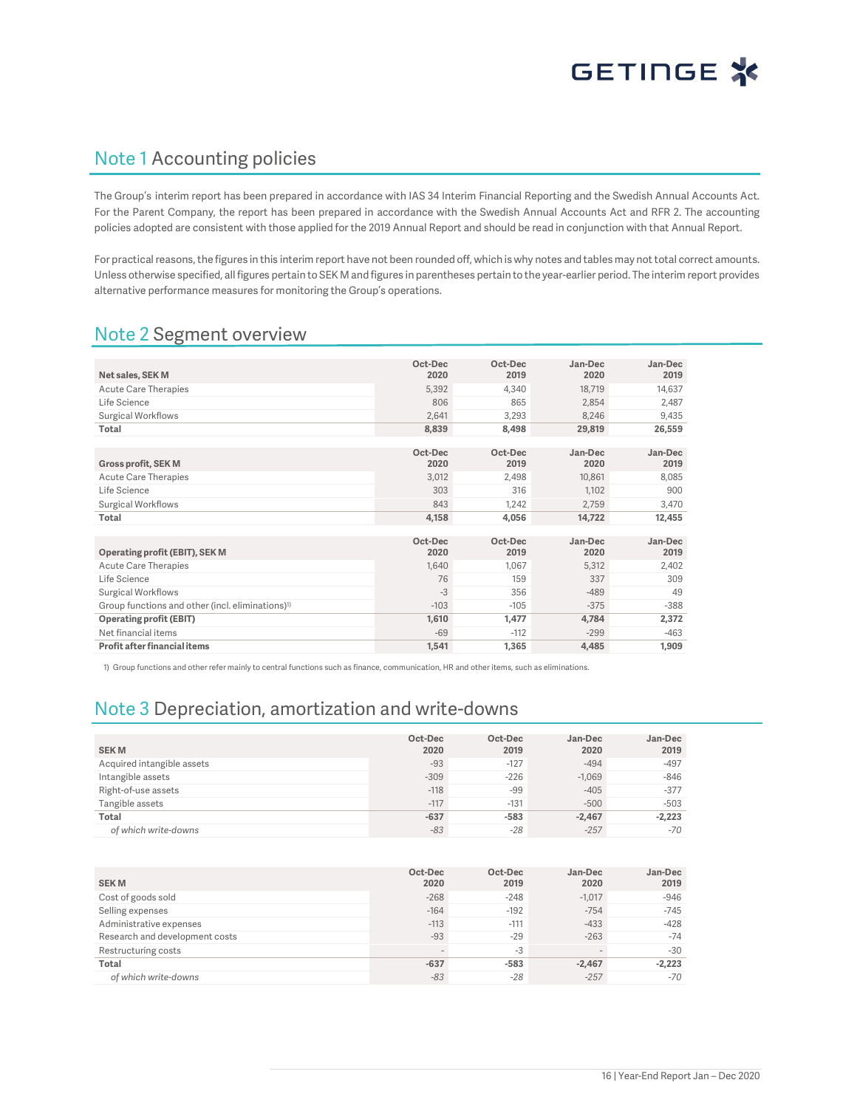### Note 1 Accounting policies

The Group's interim report has been prepared in accordance with IAS 34 Interim Financial Reporting and the Swedish Annual Accounts Act. For the Parent Company, the report has been prepared in accordance with the Swedish Annual Accounts Act and RFR 2. The accounting policies adopted are consistent with those applied for the 2019 Annual Report and should be read in conjunction with that Annual Report.

For practical reasons, the figures in this interim report have not been rounded off, which is why notes and tables may not total correct amounts. Unless otherwise specified, all figures pertain to SEK M and figures in parentheses pertain to the year-earlier period. The interim report provides alternative performance measures for monitoring the Group's operations.

### Note 2 Segment overview

|                                                              | Oct-Dec | Oct-Dec | Jan-Dec | Jan-Dec |
|--------------------------------------------------------------|---------|---------|---------|---------|
| Net sales, SEK M                                             | 2020    | 2019    | 2020    | 2019    |
| Acute Care Therapies                                         | 5,392   | 4,340   | 18,719  | 14,637  |
| Life Science                                                 | 806     | 865     | 2.854   | 2,487   |
| Surgical Workflows                                           | 2.641   | 3.293   | 8,246   | 9,435   |
| Total                                                        | 8,839   | 8,498   | 29,819  | 26,559  |
|                                                              |         |         |         |         |
|                                                              | Oct-Dec | Oct-Dec | Jan-Dec | Jan-Dec |
| <b>Gross profit, SEK M</b>                                   | 2020    | 2019    | 2020    | 2019    |
| Acute Care Therapies                                         | 3,012   | 2,498   | 10,861  | 8,085   |
| Life Science                                                 | 303     | 316     | 1.102   | 900     |
| Surgical Workflows                                           | 843     | 1,242   | 2,759   | 3,470   |
| Total                                                        | 4,158   | 4,056   | 14,722  | 12,455  |
|                                                              |         |         |         |         |
|                                                              | Oct-Dec | Oct-Dec | Jan-Dec | Jan-Dec |
| Operating profit (EBIT), SEK M                               | 2020    | 2019    | 2020    | 2019    |
| Acute Care Therapies                                         | 1,640   | 1,067   | 5,312   | 2,402   |
| Life Science                                                 | 76      | 159     | 337     | 309     |
| Surgical Workflows                                           | $-3$    | 356     | $-489$  | 49      |
| Group functions and other (incl. eliminations) <sup>1)</sup> | $-103$  | $-105$  | $-375$  | $-388$  |
| <b>Operating profit (EBIT)</b>                               | 1,610   | 1,477   | 4,784   | 2,372   |
| Net financial items                                          | $-69$   | $-112$  | $-299$  | $-463$  |
| Profit after financial items                                 | 1,541   | 1,365   | 4,485   | 1,909   |

1) Group functions and other refer mainly to central functions such as finance, communication, HR and other items, such as eliminations.

## Note 3 Depreciation, amortization and write-downs

| <b>SEKM</b>                | Oct-Dec<br>2020 | Oct-Dec<br>2019 | Jan-Dec<br>2020 | Jan-Dec<br>2019 |
|----------------------------|-----------------|-----------------|-----------------|-----------------|
| Acquired intangible assets | $-93$           | $-127$          | $-494$          | $-497$          |
| Intangible assets          | $-309$          | $-226$          | $-1,069$        | $-846$          |
| Right-of-use assets        | $-118$          | $-99$           | $-405$          | $-377$          |
| Tangible assets            | $-117$          | $-131$          | $-500$          | $-503$          |
| <b>Total</b>               | $-637$          | $-583$          | $-2.467$        | $-2,223$        |
| of which write-downs       | $-83$           | $-28$           | $-257$          | $-70$           |

| <b>SEKM</b>                    | Oct-Dec<br>2020 | Oct-Dec<br>2019 | Jan-Dec<br>2020 | Jan-Dec<br>2019 |
|--------------------------------|-----------------|-----------------|-----------------|-----------------|
| Cost of goods sold             | $-268$          | $-248$          | $-1.017$        | $-946$          |
| Selling expenses               | $-164$          | $-192$          | $-754$          | $-745$          |
| Administrative expenses        | $-113$          | $-111$          | $-433$          | $-428$          |
| Research and development costs | $-93$           | $-29$           | $-263$          | $-74$           |
| Restructuring costs            | $\sim$          | $-3$            | $\sim$          | $-30$           |
| Total                          | $-637$          | $-583$          | $-2.467$        | $-2,223$        |
| of which write-downs           | $-83$           | $-28$           | $-257$          | $-70$           |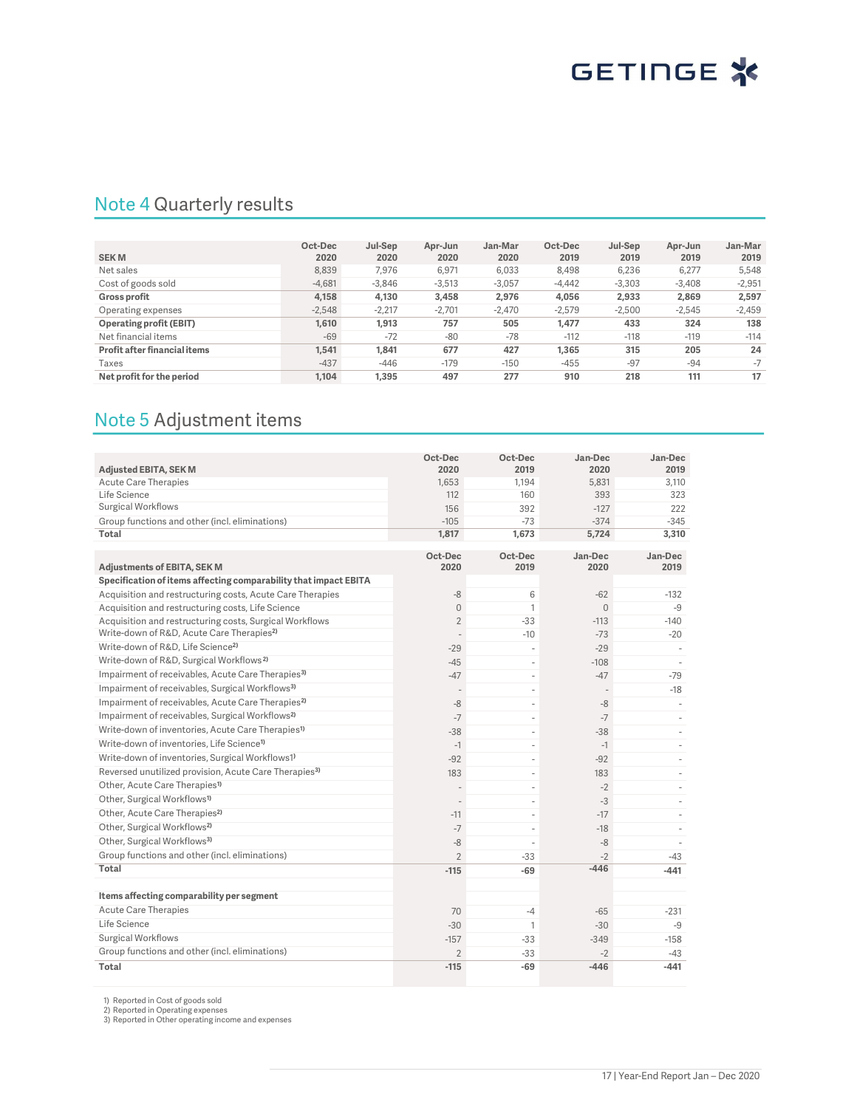## Note 4 Quarterly results

|                              | Oct-Dec  | Jul-Sep  | Apr-Jun  | Jan-Mar  | Oct-Dec  | Jul-Sep  | Apr-Jun  | Jan-Mar  |
|------------------------------|----------|----------|----------|----------|----------|----------|----------|----------|
| <b>SEKM</b>                  | 2020     | 2020     | 2020     | 2020     | 2019     | 2019     | 2019     | 2019     |
| Net sales                    | 8,839    | 7.976    | 6,971    | 6,033    | 8,498    | 6,236    | 6,277    | 5,548    |
| Cost of goods sold           | $-4.681$ | $-3.846$ | $-3.513$ | $-3.057$ | $-4.442$ | $-3.303$ | $-3.408$ | $-2,951$ |
| <b>Gross profit</b>          | 4,158    | 4,130    | 3,458    | 2.976    | 4,056    | 2,933    | 2.869    | 2,597    |
| Operating expenses           | $-2.548$ | $-2.217$ | $-2.701$ | $-2.470$ | $-2.579$ | $-2.500$ | $-2.545$ | $-2,459$ |
| Operating profit (EBIT)      | 1,610    | 1,913    | 757      | 505      | 1,477    | 433      | 324      | 138      |
| Net financial items          | $-69$    | $-72$    | $-80$    | $-78$    | $-112$   | $-118$   | $-119$   | $-114$   |
| Profit after financial items | 1.541    | 1.841    | 677      | 427      | 1.365    | 315      | 205      | 24       |
| Taxes                        | $-437$   | $-446$   | $-179$   | $-150$   | $-455$   | $-97$    | $-94$    | $-7$     |
| Net profit for the period    | 1.104    | 1,395    | 497      | 277      | 910      | 218      | 111      | 17       |

## Note 5 Adjustment items

| <b>Adjusted EBITA, SEK M</b>                                                | Oct-Dec<br>2020          | Oct-Dec<br>2019               | Jan-Dec<br>2020 | Jan-Dec<br>2019                    |
|-----------------------------------------------------------------------------|--------------------------|-------------------------------|-----------------|------------------------------------|
| <b>Acute Care Therapies</b>                                                 | 1.653                    | 1.194                         | 5.831           | 3.110                              |
| Life Science                                                                | 112                      | 160                           | 393             | 323                                |
| <b>Surgical Workflows</b>                                                   | 156                      | 392                           | $-127$          | 222                                |
| Group functions and other (incl. eliminations)                              | $-105$                   | $-73$                         | $-374$          | $-345$                             |
| Total                                                                       | 1,817                    | 1,673                         | 5,724           | 3,310                              |
|                                                                             |                          |                               |                 |                                    |
| <b>Adjustments of EBITA, SEK M</b>                                          | Oct-Dec<br>2020          | Oct-Dec<br>2019               | Jan-Dec<br>2020 | Jan-Dec<br>2019                    |
| Specification of items affecting comparability that impact EBITA            |                          |                               |                 |                                    |
| Acquisition and restructuring costs, Acute Care Therapies                   | $-8$                     | 6                             | $-62$           | $-132$                             |
| Acquisition and restructuring costs, Life Science                           | $\overline{0}$           | $\mathbf{1}$                  | $\Omega$        | $-9$                               |
| Acquisition and restructuring costs, Surgical Workflows                     | $\overline{2}$           | $-33$                         | $-113$          | $-140$                             |
| Write-down of R&D, Acute Care Therapies <sup>2)</sup>                       | $\overline{a}$           | $-10$                         | $-73$           | $-20$                              |
| Write-down of R&D. Life Science <sup>2)</sup>                               | $-29$                    | ×.                            | $-29$           |                                    |
| Write-down of R&D, Surgical Workflows <sup>2)</sup>                         | $-45$                    | ×.                            | $-108$          | ×                                  |
| Impairment of receivables, Acute Care Therapies <sup>3)</sup>               | $-47$                    | $\overline{\phantom{a}}$      | $-47$           | $-79$                              |
| Impairment of receivables, Surgical Workflows <sup>3)</sup>                 | $\overline{\phantom{a}}$ | $\overline{\phantom{a}}$      |                 | $-18$                              |
| Impairment of receivables, Acute Care Therapies <sup>2)</sup>               | -8                       | $\sim$                        | -8              | $\overline{\phantom{a}}$           |
| Impairment of receivables, Surgical Workflows <sup>2)</sup>                 | $-7$                     | ÷.                            |                 |                                    |
| Write-down of inventories, Acute Care Therapies <sup>1)</sup>               | $-38$                    | ÷,                            | $-7$<br>$-38$   | $\overline{\phantom{a}}$<br>$\sim$ |
| Write-down of inventories, Life Science <sup>1)</sup>                       | $-1$                     |                               | $-1$            |                                    |
| Write-down of inventories, Surgical Workflows1)                             | $-92$                    | ÷,                            | $-92$           | ä,                                 |
| Reversed unutilized provision, Acute Care Therapies <sup>3)</sup>           |                          | ÷,                            |                 |                                    |
| Other, Acute Care Therapies <sup>1)</sup>                                   | 183                      | $\overline{\phantom{a}}$<br>÷ | 183             |                                    |
| Other, Surgical Workflows <sup>1)</sup>                                     | $\overline{a}$           |                               | $-2$            |                                    |
| Other, Acute Care Therapies <sup>2)</sup>                                   | $\sim$                   | ×.                            | $-3$            |                                    |
| Other, Surgical Workflows <sup>2)</sup>                                     | $-11$                    | ×.                            | $-17$           |                                    |
| Other, Surgical Workflows <sup>3)</sup>                                     | $-7$                     | ä,                            | $-18$           |                                    |
| Group functions and other (incl. eliminations)                              | $-8$                     |                               | $-8$            |                                    |
| Total                                                                       | $\overline{2}$           | $-33$                         | $-2$<br>$-446$  | $-43$                              |
|                                                                             | $-115$                   | $-69$                         |                 | $-441$                             |
| Items affecting comparability per segment                                   |                          |                               |                 |                                    |
| <b>Acute Care Therapies</b>                                                 |                          |                               |                 |                                    |
| Life Science                                                                | 70                       | $-4$                          | $-65$           | $-231$                             |
|                                                                             | $-30$                    | $\mathbf{1}$                  | $-30$           | $-9$                               |
| <b>Surgical Workflows</b><br>Group functions and other (incl. eliminations) | $-157$                   | $-33$                         | $-349$          | $-158$                             |
|                                                                             | $\overline{2}$           | $-33$                         | $-2$            | $-43$                              |
| Total                                                                       | $-115$                   | $-69$                         | $-446$          | $-441$                             |

1) Reported in Cost of goods sold 2) Reported in Operating expenses 3) Reported in Other operating income and expenses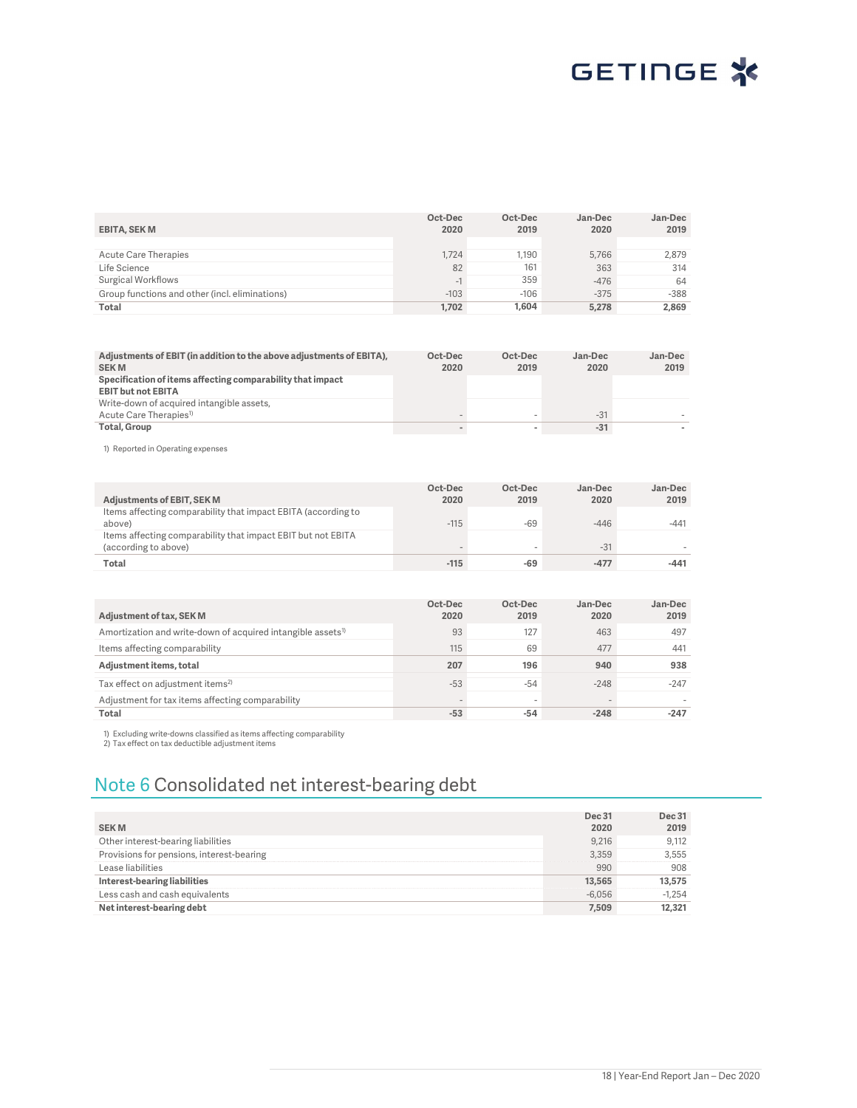

| <b>EBITA, SEK M</b>                            | Oct-Dec<br>2020 | Oct-Dec<br>2019 | Jan-Dec<br>2020 | Jan-Dec<br>2019 |
|------------------------------------------------|-----------------|-----------------|-----------------|-----------------|
|                                                |                 |                 |                 |                 |
| Acute Care Therapies                           | 1.724           | 1.190           | 5.766           | 2.879           |
| Life Science                                   | 82              | 161             | 363             | 314             |
| Surgical Workflows                             | - 1             | 359             | $-476$          | 64              |
| Group functions and other (incl. eliminations) | $-103$          | $-106$          | $-375$          | $-388$          |
| Total                                          | 1.702           | 1.604           | 5.278           | 2.869           |

|                                                                      | Oct-Dec | Oct-Dec | Jan-Dec | Jan-Dec |
|----------------------------------------------------------------------|---------|---------|---------|---------|
| Adjustments of EBIT (in addition to the above adjustments of EBITA), |         |         |         |         |
| <b>SEKM</b>                                                          | 2020    | 2019    | 2020    | 2019    |
| Specification of items affecting comparability that impact           |         |         |         |         |
| <b>EBIT but not EBITA</b>                                            |         |         |         |         |
|                                                                      |         |         |         |         |
| Write-down of acquired intangible assets,                            |         |         |         |         |
| Acute Care Therapies <sup>1)</sup>                                   |         |         | $-31$   |         |
| Total, Group                                                         |         |         | $-31$   |         |

1) Reported in Operating expenses

| Adjustments of EBIT, SEK M                                                           | Oct-Dec<br>2020 | Oct-Dec<br>2019 | Jan-Dec<br>2020 | Jan-Dec<br>2019 |
|--------------------------------------------------------------------------------------|-----------------|-----------------|-----------------|-----------------|
| Items affecting comparability that impact EBITA (according to<br>above)              | $-115$          | $-69$           | $-446$          | -441            |
| Items affecting comparability that impact EBIT but not EBITA<br>(according to above) |                 |                 | $-31$           |                 |
| Total                                                                                | $-115$          | $-69$           | $-477$          | $-441$          |

| Adjustment of tax, SEK M                                                | Oct-Dec<br>2020 | Oct-Dec<br>2019          | Jan-Dec<br>2020 | Jan-Dec<br>2019 |
|-------------------------------------------------------------------------|-----------------|--------------------------|-----------------|-----------------|
| Amortization and write-down of acquired intangible assets <sup>1)</sup> | 93              | 127                      | 463             | 497             |
| Items affecting comparability                                           | 115             | 69                       | 477             | 441             |
| Adjustment items, total                                                 | 207             | 196                      | 940             | 938             |
| Tax effect on adjustment items <sup>2)</sup>                            | $-53$           | $-54$                    | $-248$          | $-247$          |
| Adjustment for tax items affecting comparability                        | -               | $\overline{\phantom{a}}$ |                 |                 |
| Total                                                                   | $-53$           | $-54$                    | $-248$          | $-247$          |

1) Excluding write-downs classified as items affecting comparability 2) Tax effect on tax deductible adjustment items

## Note 6 Consolidated net interest-bearing debt

| <b>SEKM</b>                               | <b>Dec 31</b><br>2020 | <b>Dec 31</b><br>2019 |
|-------------------------------------------|-----------------------|-----------------------|
| Other interest-bearing liabilities        | 9.216                 | 9.112                 |
| Provisions for pensions, interest-bearing | 3.359                 | 3,555                 |
| Lease liabilities                         | 990                   | 908                   |
| Interest-bearing liabilities              | 13.565                | 13,575                |
| Less cash and cash equivalents            | $-6.056$              | $-1,254$              |
| Net interest-bearing debt                 | 7,509                 | 12,321                |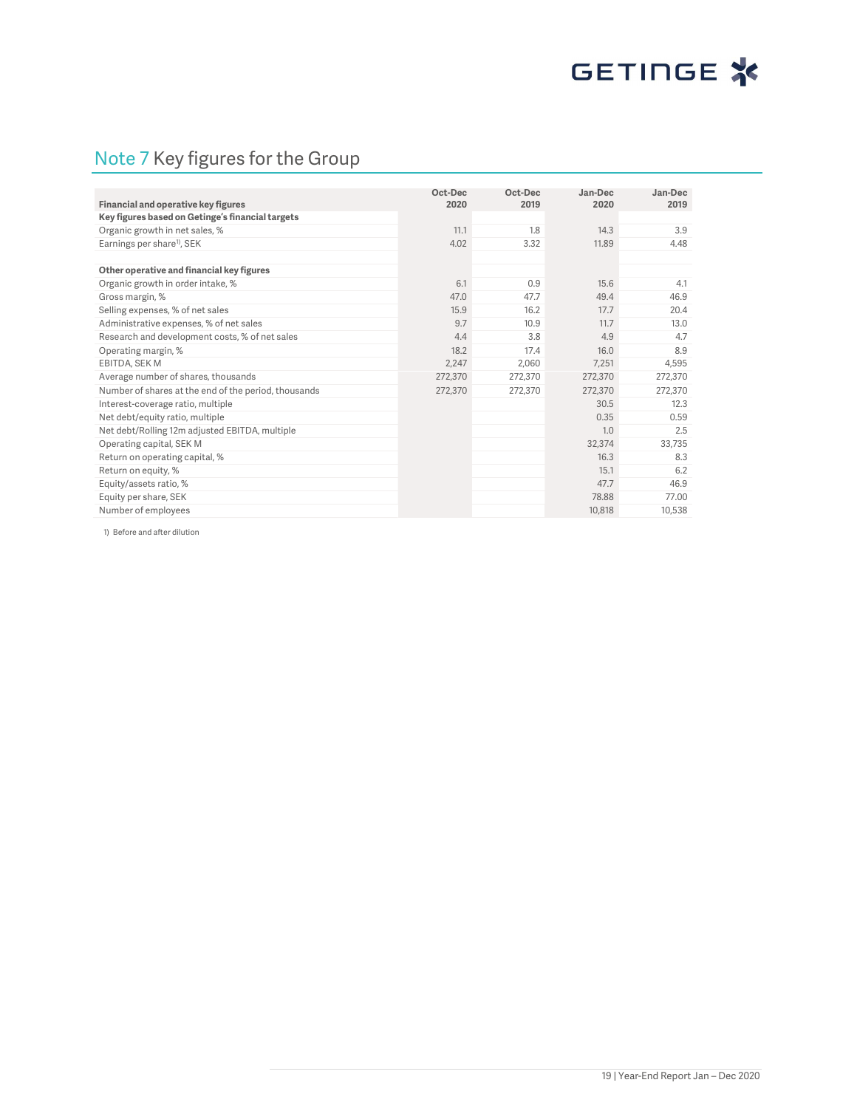# GETINGE<sup>\*</sup>

## Note 7 Key figures for the Group

| Financial and operative key figures                  | Oct-Dec<br>2020 | Oct-Dec<br>2019 | Jan-Dec<br>2020 | Jan-Dec<br>2019 |
|------------------------------------------------------|-----------------|-----------------|-----------------|-----------------|
| Key figures based on Getinge's financial targets     |                 |                 |                 |                 |
| Organic growth in net sales, %                       | 11.1            | 1.8             | 14.3            | 3.9             |
| Earnings per share <sup>1)</sup> , SEK               | 4.02            | 3.32            | 11.89           | 4.48            |
|                                                      |                 |                 |                 |                 |
| Other operative and financial key figures            |                 |                 |                 |                 |
| Organic growth in order intake, %                    | 6.1             | 0.9             | 15.6            | 4.1             |
| Gross margin, %                                      | 47.0            | 47.7            | 49.4            | 46.9            |
| Selling expenses, % of net sales                     | 15.9            | 16.2            | 17.7            | 20.4            |
| Administrative expenses, % of net sales              | 9.7             | 10.9            | 11.7            | 13.0            |
| Research and development costs, % of net sales       | 4.4             | 3.8             | 4.9             | 4.7             |
| Operating margin, %                                  | 18.2            | 17.4            | 16.0            | 8.9             |
| EBITDA, SEK M                                        | 2,247           | 2,060           | 7.251           | 4,595           |
| Average number of shares, thousands                  | 272,370         | 272,370         | 272,370         | 272,370         |
| Number of shares at the end of the period, thousands | 272,370         | 272,370         | 272,370         | 272.370         |
| Interest-coverage ratio, multiple                    |                 |                 | 30.5            | 12.3            |
| Net debt/equity ratio, multiple                      |                 |                 | 0.35            | 0.59            |
| Net debt/Rolling 12m adjusted EBITDA, multiple       |                 |                 | 1.0             | 2.5             |
| Operating capital, SEK M                             |                 |                 | 32,374          | 33,735          |
| Return on operating capital, %                       |                 |                 | 16.3            | 8.3             |
| Return on equity, %                                  |                 |                 | 15.1            | 6.2             |
| Equity/assets ratio, %                               |                 |                 | 47.7            | 46.9            |
| Equity per share, SEK                                |                 |                 | 78.88           | 77.00           |
| Number of employees                                  |                 |                 | 10.818          | 10,538          |

1) Before and after dilution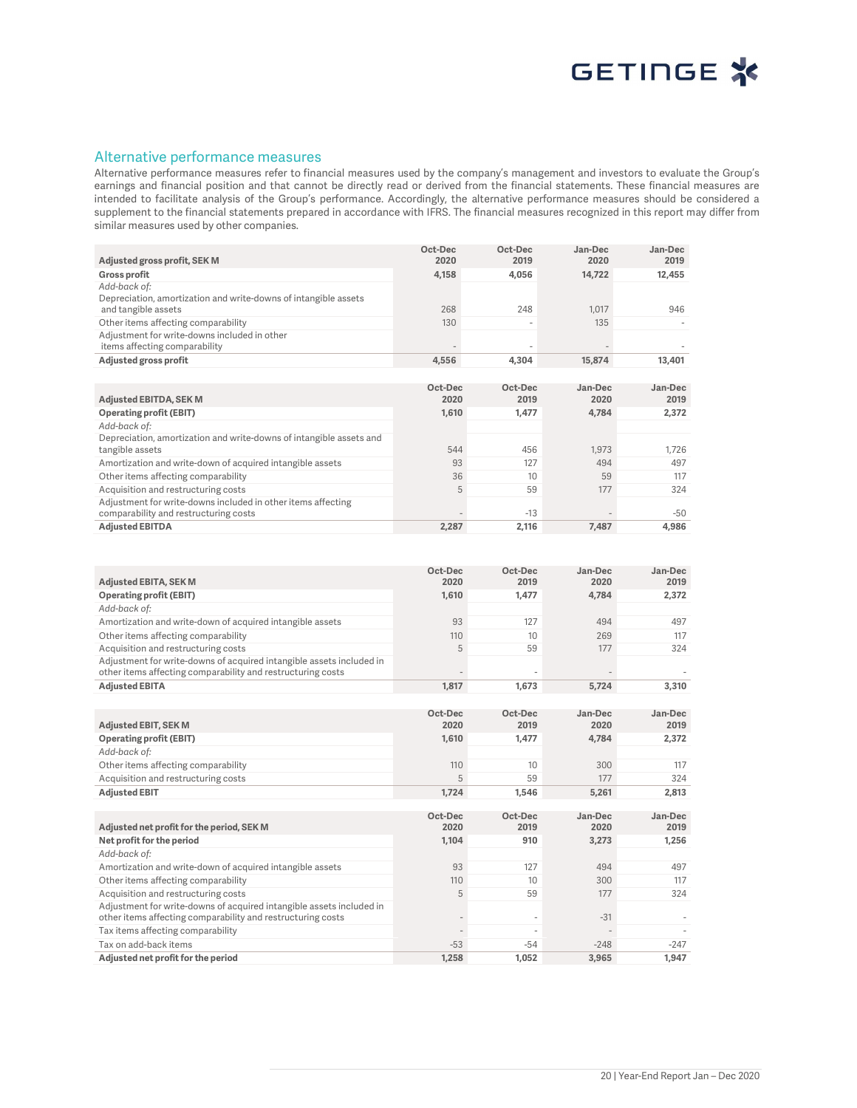

#### Alternative performance measures

Alternative performance measures refer to financial measures used by the company's management and investors to evaluate the Group's earnings and financial position and that cannot be directly read or derived from the financial statements. These financial measures are intended to facilitate analysis of the Group's performance. Accordingly, the alternative performance measures should be considered a supplement to the financial statements prepared in accordance with IFRS. The financial measures recognized in this report may differ from similar measures used by other companies.

|                                                                                                                                     | Oct-Dec         | Oct-Dec         | Jan-Dec         | Jan-Dec         |
|-------------------------------------------------------------------------------------------------------------------------------------|-----------------|-----------------|-----------------|-----------------|
| Adjusted gross profit, SEK M                                                                                                        | 2020            | 2019            | 2020            | 2019            |
| <b>Gross profit</b>                                                                                                                 | 4,158           | 4,056           | 14,722          | 12,455          |
| Add-back of:                                                                                                                        |                 |                 |                 |                 |
| Depreciation, amortization and write-downs of intangible assets                                                                     |                 |                 |                 |                 |
| and tangible assets                                                                                                                 | 268             | 248             | 1,017           | 946             |
| Other items affecting comparability<br>Adjustment for write-downs included in other                                                 | 130             |                 | 135             |                 |
| items affecting comparability                                                                                                       |                 |                 |                 |                 |
| Adjusted gross profit                                                                                                               | 4,556           | 4,304           | 15,874          | 13,401          |
|                                                                                                                                     |                 |                 |                 |                 |
|                                                                                                                                     | Oct-Dec         | Oct-Dec         | Jan-Dec         | Jan-Dec         |
| <b>Adjusted EBITDA, SEK M</b>                                                                                                       | 2020            | 2019            | 2020            | 2019            |
| <b>Operating profit (EBIT)</b>                                                                                                      | 1,610           | 1,477           | 4,784           | 2,372           |
| Add-back of:                                                                                                                        |                 |                 |                 |                 |
| Depreciation, amortization and write-downs of intangible assets and                                                                 |                 |                 |                 |                 |
| tangible assets                                                                                                                     | 544             | 456             | 1,973           | 1,726           |
| Amortization and write-down of acquired intangible assets                                                                           | 93              | 127             | 494             | 497             |
| Other items affecting comparability                                                                                                 | 36              | 10              | 59              | 117             |
| Acquisition and restructuring costs                                                                                                 | 5               | 59              | 177             | 324             |
| Adjustment for write-downs included in other items affecting                                                                        |                 |                 |                 |                 |
| comparability and restructuring costs                                                                                               |                 | $-13$           |                 | $-50$           |
| <b>Adjusted EBITDA</b>                                                                                                              | 2,287           | 2,116           | 7,487           | 4,986           |
|                                                                                                                                     |                 |                 |                 |                 |
|                                                                                                                                     |                 |                 |                 |                 |
|                                                                                                                                     | Oct-Dec         | Oct-Dec         | Jan-Dec         | Jan-Dec         |
| <b>Adjusted EBITA, SEK M</b>                                                                                                        | 2020            | 2019            | 2020            | 2019            |
| <b>Operating profit (EBIT)</b>                                                                                                      | 1,610           | 1,477           | 4,784           | 2,372           |
| Add-back of:                                                                                                                        |                 |                 |                 |                 |
| Amortization and write-down of acquired intangible assets                                                                           | 93              | 127             | 494             | 497             |
| Other items affecting comparability                                                                                                 | 110             | 10              | 269             | 117             |
| Acquisition and restructuring costs                                                                                                 | 5               | 59              | 177             | 324             |
| Adjustment for write-downs of acquired intangible assets included in                                                                |                 |                 |                 |                 |
| other items affecting comparability and restructuring costs                                                                         |                 |                 |                 |                 |
| <b>Adjusted EBITA</b>                                                                                                               | 1,817           | 1,673           | 5,724           | 3,310           |
|                                                                                                                                     |                 |                 |                 |                 |
|                                                                                                                                     | Oct-Dec         | Oct-Dec         | Jan-Dec         | Jan-Dec         |
| Adjusted EBIT, SEK M                                                                                                                | 2020            | 2019            | 2020            | 2019            |
| <b>Operating profit (EBIT)</b>                                                                                                      | 1,610           | 1,477           | 4,784           | 2,372           |
| Add-back of:                                                                                                                        |                 |                 |                 |                 |
| Other items affecting comparability                                                                                                 | 110             | 10              | 300             | 117             |
| Acquisition and restructuring costs                                                                                                 | 5               | 59              | 177             | 324             |
| <b>Adjusted EBIT</b>                                                                                                                | 1,724           | 1,546           | 5,261           | 2,813           |
|                                                                                                                                     |                 |                 |                 |                 |
|                                                                                                                                     | Oct-Dec<br>2020 | Oct-Dec<br>2019 | Jan-Dec<br>2020 | Jan-Dec<br>2019 |
| Adjusted net profit for the period, SEK M                                                                                           |                 |                 |                 |                 |
| Net profit for the period                                                                                                           | 1,104           | 910             | 3,273           | 1,256           |
| Add-back of:                                                                                                                        |                 |                 |                 |                 |
| Amortization and write-down of acquired intangible assets                                                                           | 93              | 127             | 494             | 497             |
| Other items affecting comparability                                                                                                 | 110             | 10              | 300             | 117             |
| Acquisition and restructuring costs                                                                                                 | 5               | 59              | 177             | 324             |
| Adjustment for write-downs of acquired intangible assets included in<br>other items affecting comparability and restructuring costs |                 |                 | $-31$           |                 |
| Tax items affecting comparability                                                                                                   |                 |                 |                 |                 |
| Tax on add-back items                                                                                                               | $-53$           | $-54$           | $-248$          | $-247$          |
| Adjusted net profit for the period                                                                                                  | 1,258           | 1,052           | 3,965           | 1,947           |
|                                                                                                                                     |                 |                 |                 |                 |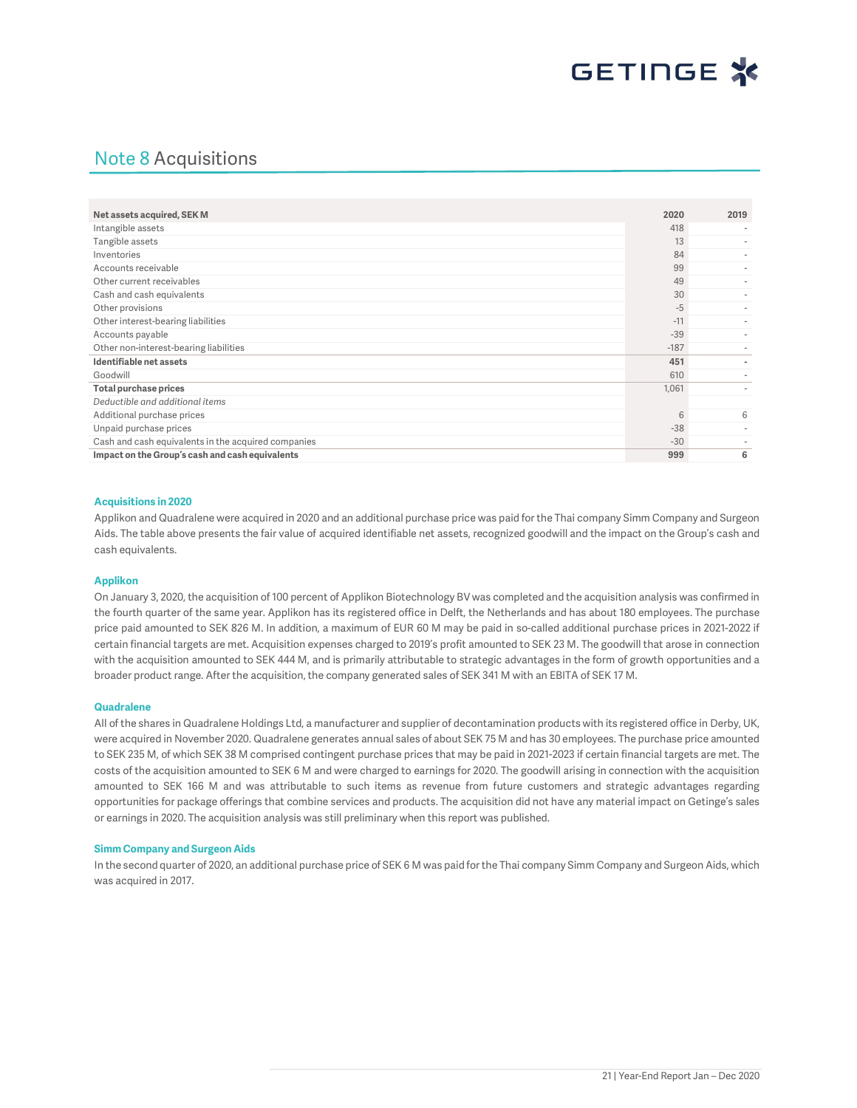## Note 8 Acquisitions

| Net assets acquired, SEK M                          | 2020   | 2019                     |
|-----------------------------------------------------|--------|--------------------------|
| Intangible assets                                   | 418    |                          |
| Tangible assets                                     | 13     |                          |
| Inventories                                         | 84     |                          |
| Accounts receivable                                 | 99     |                          |
| Other current receivables                           | 49     | $\overline{\phantom{a}}$ |
| Cash and cash equivalents                           | 30     |                          |
| Other provisions                                    | $-5$   |                          |
| Other interest-bearing liabilities                  | $-11$  |                          |
| Accounts payable                                    | $-39$  |                          |
| Other non-interest-bearing liabilities              | $-187$ |                          |
| Identifiable net assets                             | 451    |                          |
| Goodwill                                            | 610    |                          |
| <b>Total purchase prices</b>                        | 1,061  |                          |
| Deductible and additional items                     |        |                          |
| Additional purchase prices                          | 6      | 6                        |
| Unpaid purchase prices                              | $-38$  | $\overline{\phantom{a}}$ |
| Cash and cash equivalents in the acquired companies | $-30$  |                          |
| Impact on the Group's cash and cash equivalents     | 999    | 6                        |

#### Acquisitions in 2020

Applikon and Quadralene were acquired in 2020 and an additional purchase price was paid for the Thai company Simm Company and Surgeon Aids. The table above presents the fair value of acquired identifiable net assets, recognized goodwill and the impact on the Group's cash and cash equivalents.

#### Applikon

On January 3, 2020, the acquisition of 100 percent of Applikon Biotechnology BV was completed and the acquisition analysis was confirmed in the fourth quarter of the same year. Applikon has its registered office in Delft, the Netherlands and has about 180 employees. The purchase price paid amounted to SEK 826 M. In addition, a maximum of EUR 60 M may be paid in so-called additional purchase prices in 2021-2022 if certain financial targets are met. Acquisition expenses charged to 2019's profit amounted to SEK 23 M. The goodwill that arose in connection with the acquisition amounted to SEK 444 M, and is primarily attributable to strategic advantages in the form of growth opportunities and a broader product range. After the acquisition, the company generated sales of SEK 341 M with an EBITA of SEK 17 M.

#### Quadralene

All of the shares in Quadralene Holdings Ltd, a manufacturer and supplier of decontamination products with its registered office in Derby, UK, were acquired in November 2020. Quadralene generates annual sales of about SEK 75 M and has 30 employees. The purchase price amounted to SEK 235 M, of which SEK 38 M comprised contingent purchase prices that may be paid in 2021-2023 if certain financial targets are met. The costs of the acquisition amounted to SEK 6 M and were charged to earnings for 2020. The goodwill arising in connection with the acquisition amounted to SEK 166 M and was attributable to such items as revenue from future customers and strategic advantages regarding opportunities for package offerings that combine services and products. The acquisition did not have any material impact on Getinge's sales or earnings in 2020. The acquisition analysis was still preliminary when this report was published.

#### Simm Company and Surgeon Aids

In the second quarter of 2020, an additional purchase price of SEK 6 M was paid for the Thai company Simm Company and Surgeon Aids, which was acquired in 2017.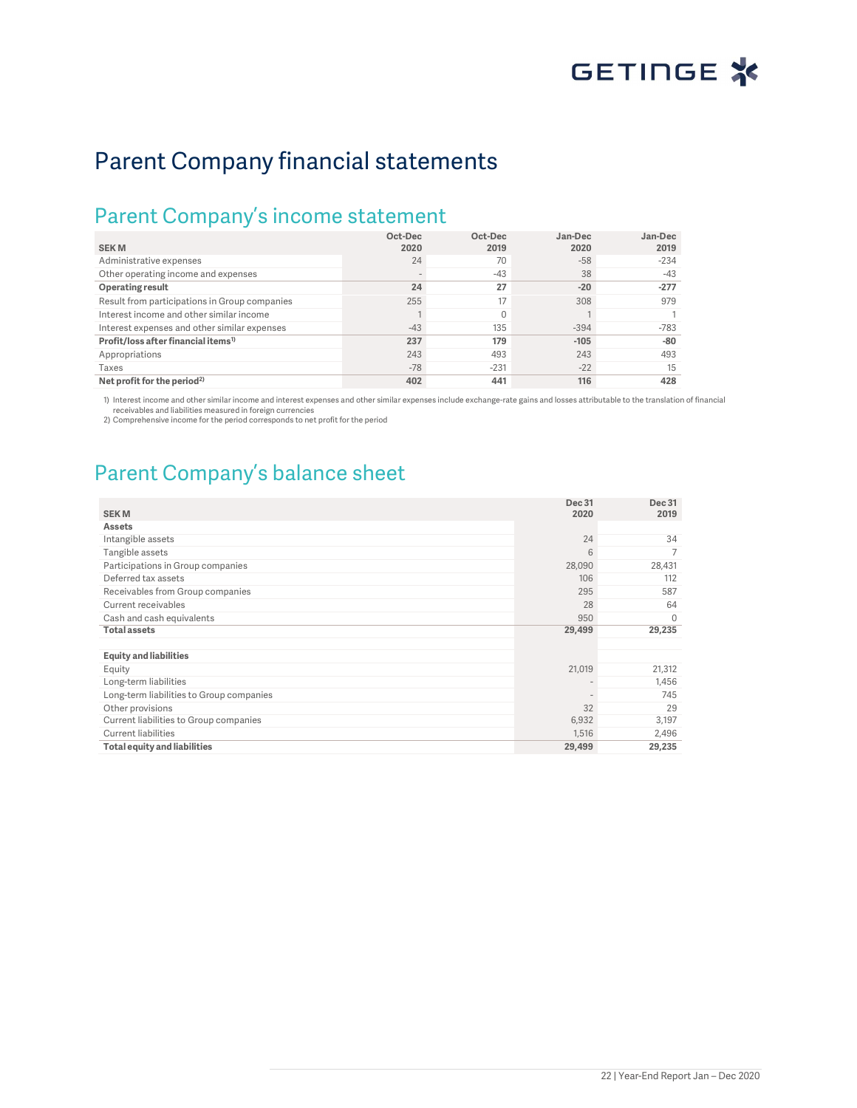# Parent Company financial statements

## Parent Company's income statement

| <b>SEKM</b>                                     | Oct-Dec<br>2020 | Oct-Dec<br>2019 | Jan-Dec<br>2020 | Jan-Dec<br>2019 |
|-------------------------------------------------|-----------------|-----------------|-----------------|-----------------|
| Administrative expenses                         | 24              | 70              | $-58$           | $-234$          |
| Other operating income and expenses             |                 | $-43$           | 38              | $-43$           |
| Operating result                                | 24              | 27              | $-20$           | $-277$          |
| Result from participations in Group companies   | 255             | 17              | 308             | 979             |
| Interest income and other similar income        |                 | $\Omega$        |                 |                 |
| Interest expenses and other similar expenses    | $-43$           | 135             | $-394$          | $-783$          |
| Profit/loss after financial items <sup>1)</sup> | 237             | 179             | $-105$          | $-80$           |
| Appropriations                                  | 243             | 493             | 243             | 493             |
| Taxes                                           | $-78$           | $-231$          | $-22$           | 15              |
| Net profit for the period <sup>2)</sup>         | 402             | 441             | 116             | 428             |

1) Interest income and other similar income and interest expenses and other similar expenses include exchange-rate gains and losses attributable to the translation of financial receivables and liabilities measured in foreign currencies

2) Comprehensive income for the period corresponds to net profit for the period

## Parent Company's balance sheet

|                                          | Dec 31                   | Dec 31   |
|------------------------------------------|--------------------------|----------|
| <b>SEKM</b>                              | 2020                     | 2019     |
| <b>Assets</b>                            |                          |          |
| Intangible assets                        | 24                       | 34       |
| Tangible assets                          | 6                        | 7        |
| Participations in Group companies        | 28,090                   | 28,431   |
| Deferred tax assets                      | 106                      | 112      |
| Receivables from Group companies         | 295                      | 587      |
| Current receivables                      | 28                       | 64       |
| Cash and cash equivalents                | 950                      | $\Omega$ |
| <b>Total assets</b>                      | 29,499                   | 29,235   |
|                                          |                          |          |
| <b>Equity and liabilities</b>            |                          |          |
| Equity                                   | 21,019                   | 21,312   |
| Long-term liabilities                    | $\overline{\phantom{a}}$ | 1,456    |
| Long-term liabilities to Group companies | $\overline{\phantom{a}}$ | 745      |
| Other provisions                         | 32                       | 29       |
| Current liabilities to Group companies   | 6,932                    | 3,197    |
| <b>Current liabilities</b>               | 1,516                    | 2,496    |
| <b>Total equity and liabilities</b>      | 29,499                   | 29,235   |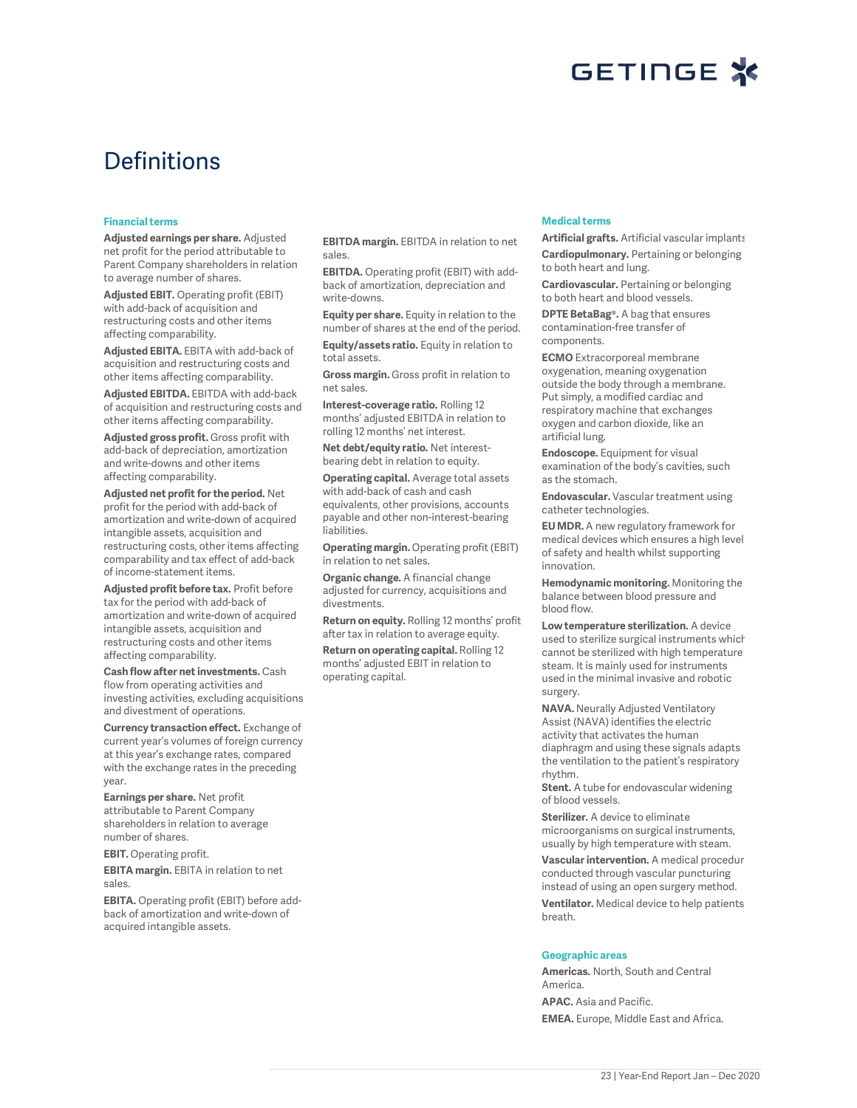

## **Definitions**

#### Financial terms

Adjusted earnings per share. Adjusted net profit for the period attributable to Parent Company shareholders in relation to average number of shares.

Adjusted EBIT. Operating profit (EBIT) with add-back of acquisition and restructuring costs and other items affecting comparability.

Adjusted EBITA. EBITA with add-back of acquisition and restructuring costs and other items affecting comparability.

Adjusted EBITDA. EBITDA with add-back of acquisition and restructuring costs and other items affecting comparability.

Adjusted gross profit. Gross profit with add-back of depreciation, amortization and write-downs and other items affecting comparability.

Adjusted net profit for the period. Net profit for the period with add-back of amortization and write-down of acquired intangible assets, acquisition and restructuring costs, other items affecting comparability and tax effect of add-back of income-statement items.

Adjusted profit before tax. Profit before tax for the period with add-back of amortization and write-down of acquired intangible assets, acquisition and restructuring costs and other items affecting comparability.

Cash flow after net investments. Cash flow from operating activities and investing activities, excluding acquisitions and divestment of operations.

Currency transaction effect. Exchange of current year's volumes of foreign currency at this year's exchange rates, compared with the exchange rates in the preceding year.

Earnings per share. Net profit attributable to Parent Company shareholders in relation to average number of shares.

EBIT. Operating profit.

EBITA margin. EBITA in relation to net sales.

EBITA. Operating profit (EBIT) before addback of amortization and write-down of acquired intangible assets.

EBITDA margin. EBITDA in relation to net sales.

EBITDA. Operating profit (EBIT) with addback of amortization, depreciation and write-downs.

Equity per share. Equity in relation to the number of shares at the end of the period.

Equity/assets ratio. Equity in relation to total assets.

Gross margin. Gross profit in relation to net sales.

Interest-coverage ratio. Rolling 12 months' adjusted EBITDA in relation to rolling 12 months' net interest.

Net debt/equity ratio. Net interestbearing debt in relation to equity.

Operating capital. Average total assets with add-back of cash and cash equivalents, other provisions, accounts payable and other non-interest-bearing liabilities.

Operating margin. Operating profit (EBIT) in relation to net sales.

Organic change. A financial change adjusted for currency, acquisitions and divestments.

Return on equity. Rolling 12 months' profit after tax in relation to average equity.

Return on operating capital. Rolling 12 months' adjusted EBIT in relation to operating capital.

#### Medical terms

Artificial grafts. Artificial vascular implants. Cardiopulmonary. Pertaining or belonging to both heart and lung.

Cardiovascular. Pertaining or belonging to both heart and blood vessels.

DPTE BetaBag®. A bag that ensures contamination-free transfer of components.

ECMO Extracorporeal membrane oxygenation, meaning oxygenation outside the body through a membrane. Put simply, a modified cardiac and respiratory machine that exchanges oxygen and carbon dioxide, like an artificial lung.

Endoscope. Equipment for visual examination of the body's cavities, such as the stomach.

Endovascular. Vascular treatment using catheter technologies.

EU MDR. A new regulatory framework for medical devices which ensures a high level of safety and health whilst supporting innovation.

Hemodynamic monitoring. Monitoring the balance between blood pressure and blood flow.

Low temperature sterilization. A device used to sterilize surgical instruments which cannot be sterilized with high temperature steam. It is mainly used for instruments used in the minimal invasive and robotic surgery.

NAVA. Neurally Adjusted Ventilatory Assist (NAVA) identifies the electric activity that activates the human diaphragm and using these signals adapts the ventilation to the patient's respiratory rhythm.

Stent. A tube for endovascular widening of blood vessels.

Sterilizer. A device to eliminate microorganisms on surgical instruments, usually by high temperature with steam.

Vascular intervention. A medical procedur conducted through vascular puncturing instead of using an open surgery method. Ventilator. Medical device to help patients breath.

#### Geographic areas

Americas. North, South and Central America.

APAC. Asia and Pacific. EMEA. Europe, Middle East and Africa.